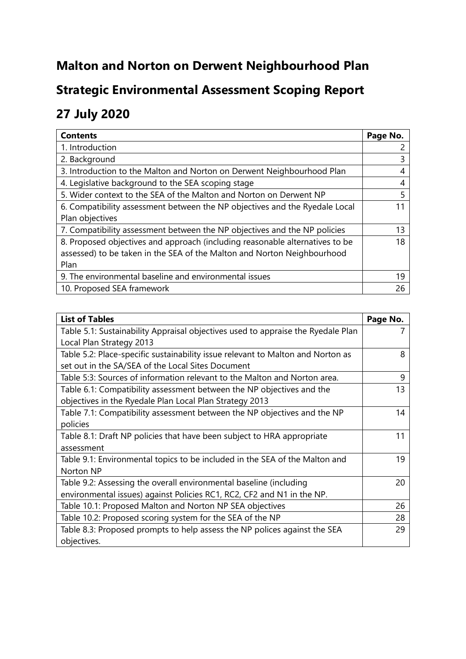# **Malton and Norton on Derwent Neighbourhood Plan**

# **Strategic Environmental Assessment Scoping Report**

# **27 July 2020**

| <b>Contents</b>                                                              | Page No. |
|------------------------------------------------------------------------------|----------|
| 1. Introduction                                                              |          |
| 2. Background                                                                | 3        |
| 3. Introduction to the Malton and Norton on Derwent Neighbourhood Plan       |          |
| 4. Legislative background to the SEA scoping stage                           | 4        |
| 5. Wider context to the SEA of the Malton and Norton on Derwent NP           |          |
| 6. Compatibility assessment between the NP objectives and the Ryedale Local  |          |
| Plan objectives                                                              |          |
| 7. Compatibility assessment between the NP objectives and the NP policies    | 13       |
| 8. Proposed objectives and approach (including reasonable alternatives to be | 18       |
| assessed) to be taken in the SEA of the Malton and Norton Neighbourhood      |          |
| Plan                                                                         |          |
| 9. The environmental baseline and environmental issues                       | 19       |
| 10. Proposed SEA framework                                                   | 26       |

| <b>List of Tables</b>                                                            | Page No. |
|----------------------------------------------------------------------------------|----------|
| Table 5.1: Sustainability Appraisal objectives used to appraise the Ryedale Plan |          |
| Local Plan Strategy 2013                                                         |          |
| Table 5.2: Place-specific sustainability issue relevant to Malton and Norton as  | 8        |
| set out in the SA/SEA of the Local Sites Document                                |          |
| Table 5:3: Sources of information relevant to the Malton and Norton area.        | 9        |
| Table 6.1: Compatibility assessment between the NP objectives and the            | 13       |
| objectives in the Ryedale Plan Local Plan Strategy 2013                          |          |
| Table 7.1: Compatibility assessment between the NP objectives and the NP         | 14       |
| policies                                                                         |          |
| Table 8.1: Draft NP policies that have been subject to HRA appropriate           | 11       |
| assessment                                                                       |          |
| Table 9.1: Environmental topics to be included in the SEA of the Malton and      | 19       |
| Norton NP                                                                        |          |
| Table 9.2: Assessing the overall environmental baseline (including               | 20       |
| environmental issues) against Policies RC1, RC2, CF2 and N1 in the NP.           |          |
| Table 10.1: Proposed Malton and Norton NP SEA objectives                         | 26       |
| Table 10.2: Proposed scoring system for the SEA of the NP                        | 28       |
| Table 8.3: Proposed prompts to help assess the NP polices against the SEA        | 29       |
| objectives.                                                                      |          |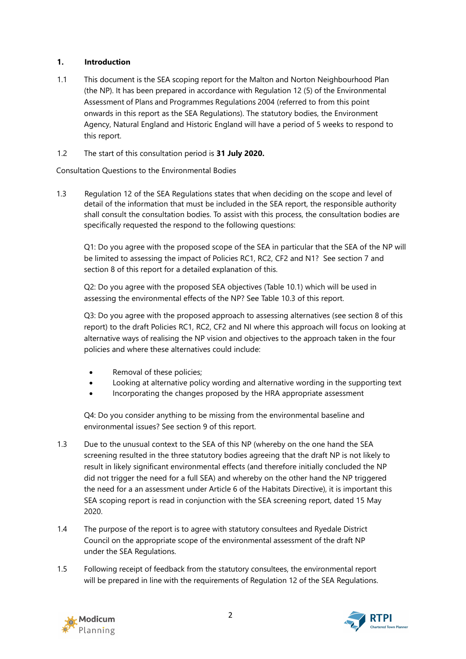## **1. Introduction**

- 1.1 This document is the SEA scoping report for the Malton and Norton Neighbourhood Plan (the NP). It has been prepared in accordance with Regulation 12 (5) of the Environmental Assessment of Plans and Programmes Regulations 2004 (referred to from this point onwards in this report as the SEA Regulations). The statutory bodies, the Environment Agency, Natural England and Historic England will have a period of 5 weeks to respond to this report.
- 1.2 The start of this consultation period is **31 July 2020.**

Consultation Questions to the Environmental Bodies

1.3 Regulation 12 of the SEA Regulations states that when deciding on the scope and level of detail of the information that must be included in the SEA report, the responsible authority shall consult the consultation bodies. To assist with this process, the consultation bodies are specifically requested the respond to the following questions:

Q1: Do you agree with the proposed scope of the SEA in particular that the SEA of the NP will be limited to assessing the impact of Policies RC1, RC2, CF2 and N1? See section 7 and section 8 of this report for a detailed explanation of this.

Q2: Do you agree with the proposed SEA objectives (Table 10.1) which will be used in assessing the environmental effects of the NP? See Table 10.3 of this report.

Q3: Do you agree with the proposed approach to assessing alternatives (see section 8 of this report) to the draft Policies RC1, RC2, CF2 and NI where this approach will focus on looking at alternative ways of realising the NP vision and objectives to the approach taken in the four policies and where these alternatives could include:

- Removal of these policies;
- Looking at alternative policy wording and alternative wording in the supporting text
- Incorporating the changes proposed by the HRA appropriate assessment

Q4: Do you consider anything to be missing from the environmental baseline and environmental issues? See section 9 of this report.

- 1.3 Due to the unusual context to the SEA of this NP (whereby on the one hand the SEA screening resulted in the three statutory bodies agreeing that the draft NP is not likely to result in likely significant environmental effects (and therefore initially concluded the NP did not trigger the need for a full SEA) and whereby on the other hand the NP triggered the need for a an assessment under Article 6 of the Habitats Directive), it is important this SEA scoping report is read in conjunction with the SEA screening report, dated 15 May 2020.
- 1.4 The purpose of the report is to agree with statutory consultees and Ryedale District Council on the appropriate scope of the environmental assessment of the draft NP under the SEA Regulations.
- 1.5 Following receipt of feedback from the statutory consultees, the environmental report will be prepared in line with the requirements of Regulation 12 of the SEA Regulations.



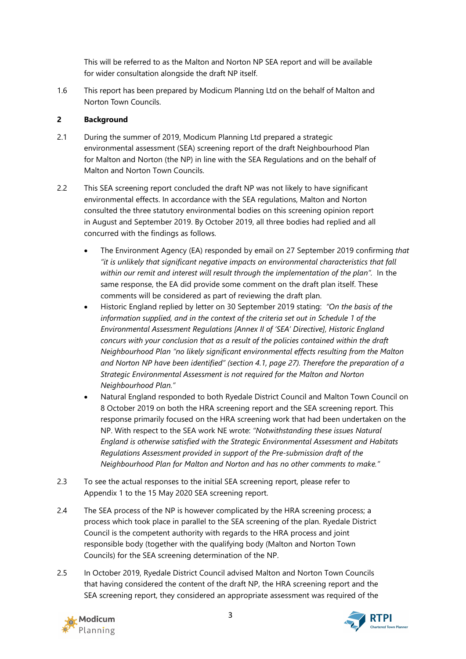This will be referred to as the Malton and Norton NP SEA report and will be available for wider consultation alongside the draft NP itself.

1.6 This report has been prepared by Modicum Planning Ltd on the behalf of Malton and Norton Town Councils.

# **2 Background**

- 2.1 During the summer of 2019, Modicum Planning Ltd prepared a strategic environmental assessment (SEA) screening report of the draft Neighbourhood Plan for Malton and Norton (the NP) in line with the SEA Regulations and on the behalf of Malton and Norton Town Councils.
- 2.2 This SEA screening report concluded the draft NP was not likely to have significant environmental effects. In accordance with the SEA regulations, Malton and Norton consulted the three statutory environmental bodies on this screening opinion report in August and September 2019. By October 2019, all three bodies had replied and all concurred with the findings as follows.
	- The Environment Agency (EA) responded by email on 27 September 2019 confirming *that "it is unlikely that significant negative impacts on environmental characteristics that fall within our remit and interest will result through the implementation of the plan".* In the same response, the EA did provide some comment on the draft plan itself. These comments will be considered as part of reviewing the draft plan.
	- Historic England replied by letter on 30 September 2019 stating: *"On the basis of the information supplied, and in the context of the criteria set out in Schedule 1 of the Environmental Assessment Regulations [Annex II of 'SEA' Directive], Historic England concurs with your conclusion that as a result of the policies contained within the draft Neighbourhood Plan "no likely significant environmental effects resulting from the Malton and Norton NP have been identified" (section 4.1, page 27). Therefore the preparation of a Strategic Environmental Assessment is not required for the Malton and Norton Neighbourhood Plan."*
	- Natural England responded to both Ryedale District Council and Malton Town Council on 8 October 2019 on both the HRA screening report and the SEA screening report. This response primarily focused on the HRA screening work that had been undertaken on the NP. With respect to the SEA work NE wrote: *"Notwithstanding these issues Natural England is otherwise satisfied with the Strategic Environmental Assessment and Habitats Regulations Assessment provided in support of the Pre-submission draft of the Neighbourhood Plan for Malton and Norton and has no other comments to make."*
- 2.3 To see the actual responses to the initial SEA screening report, please refer to Appendix 1 to the 15 May 2020 SEA screening report.
- 2.4 The SEA process of the NP is however complicated by the HRA screening process; a process which took place in parallel to the SEA screening of the plan. Ryedale District Council is the competent authority with regards to the HRA process and joint responsible body (together with the qualifying body (Malton and Norton Town Councils) for the SEA screening determination of the NP.
- 2.5 In October 2019, Ryedale District Council advised Malton and Norton Town Councils that having considered the content of the draft NP, the HRA screening report and the SEA screening report, they considered an appropriate assessment was required of the



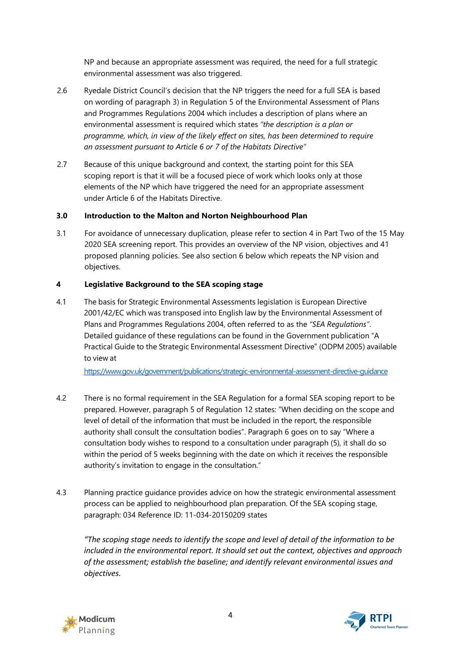NP and because an appropriate assessment was required, the need for a full strategic environmental assessment was also triggered.

- 2.6 Ryedale District Council's decision that the NP triggers the need for a full SEA is based on wording of paragraph 3) in Regulation 5 of the Environmental Assessment of Plans and Programmes Regulations 2004 which includes a description of plans where an environmental assessment is required which states *"the description is a plan or programme, which, in view of the likely effect on sites, has been determined to require an assessment pursuant to Article 6 or 7 of the Habitats Directive"*
- 2.7 Because of this unique background and context, the starting point for this SEA scoping report is that it will be a focused piece of work which looks only at those elements of the NP which have triggered the need for an appropriate assessment under Article 6 of the Habitats Directive.

# **3.0 Introduction to the Malton and Norton Neighbourhood Plan**

3.1 For avoidance of unnecessary duplication, please refer to section 4 in Part Two of the 15 May 2020 SEA screening report. This provides an overview of the NP vision, objectives and 41 proposed planning policies. See also section 6 below which repeats the NP vision and objectives.

# **4 Legislative Background to the SEA scoping stage**

4.1 The basis for Strategic Environmental Assessments legislation is European Directive 2001/42/EC which was transposed into English law by the Environmental Assessment of Plans and Programmes Regulations 2004, often referred to as the *"SEA Regulations"*. Detailed guidance of these regulations can be found in the Government publication "A Practical Guide to the Strategic Environmental Assessment Directive" (ODPM 2005) available to view at

<https://www.gov.uk/government/publications/strategic-environmental-assessment-directive-guidance>

- 4.2 There is no formal requirement in the SEA Regulation for a formal SEA scoping report to be prepared. However, paragraph 5 of Regulation 12 states: "When deciding on the scope and level of detail of the information that must be included in the report, the responsible authority shall consult the consultation bodies". Paragraph 6 goes on to say "Where a consultation body wishes to respond to a consultation under paragraph (5), it shall do so within the period of 5 weeks beginning with the date on which it receives the responsible authority's invitation to engage in the consultation."
- 4.3 Planning practice guidance provides advice on how the strategic environmental assessment process can be applied to neighbourhood plan preparation. Of the SEA scoping stage, paragraph: 034 Reference ID: 11-034-20150209 states

*"The scoping stage needs to identify the scope and level of detail of the information to be included in the environmental report. It should set out the context, objectives and approach of the assessment; establish the baseline; and identify relevant environmental issues and objectives.*



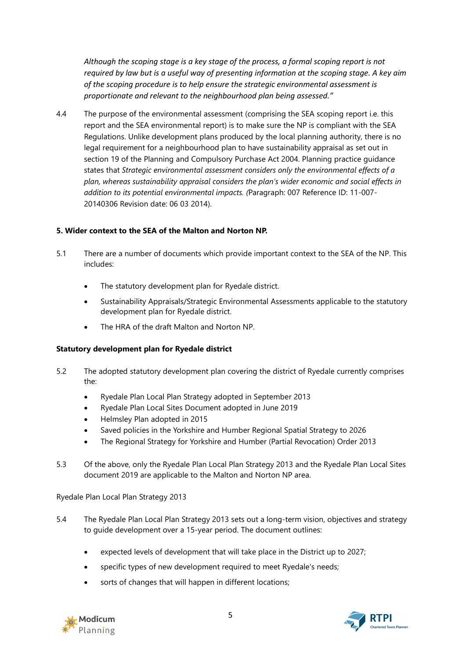*Although the scoping stage is a key stage of the process, a formal scoping report is not required by law but is a useful way of presenting information at the scoping stage. A key aim of the scoping procedure is to help ensure the strategic environmental assessment is proportionate and relevant to the neighbourhood plan being assessed."*

4.4 The purpose of the environmental assessment (comprising the SEA scoping report i.e. this report and the SEA environmental report) is to make sure the NP is compliant with the SEA Regulations. Unlike development plans produced by the local planning authority, there is no legal requirement for a neighbourhood plan to have sustainability appraisal as set out in section 19 of the Planning and Compulsory Purchase Act 2004. Planning practice guidance states that *Strategic environmental assessment considers only the environmental effects of a plan, whereas sustainability appraisal considers the plan's wider economic and social effects in addition to its potential environmental impacts. (*Paragraph: 007 Reference ID: 11-007- 20140306 Revision date: 06 03 2014).

#### **5. Wider context to the SEA of the Malton and Norton NP.**

- 5.1 There are a number of documents which provide important context to the SEA of the NP. This includes:
	- The statutory development plan for Ryedale district.
	- Sustainability Appraisals/Strategic Environmental Assessments applicable to the statutory development plan for Ryedale district.
	- The HRA of the draft Malton and Norton NP.

#### **Statutory development plan for Ryedale district**

- 5.2 The adopted statutory development plan covering the district of Ryedale currently comprises the:
	- Ryedale Plan Local Plan Strategy adopted in September 2013
	- Ryedale Plan Local Sites Document adopted in June 2019
	- Helmsley Plan adopted in 2015
	- Saved policies in the Yorkshire and Humber Regional Spatial Strategy to 2026
	- The Regional Strategy for Yorkshire and Humber (Partial Revocation) Order 2013
- 5.3 Of the above, only the Ryedale Plan Local Plan Strategy 2013 and the Ryedale Plan Local Sites document 2019 are applicable to the Malton and Norton NP area.

Ryedale Plan Local Plan Strategy 2013

- 5.4 The Ryedale Plan Local Plan Strategy 2013 sets out a long-term vision, objectives and strategy to guide development over a 15-year period. The document outlines:
	- expected levels of development that will take place in the District up to 2027;
	- specific types of new development required to meet Ryedale's needs;
	- sorts of changes that will happen in different locations;



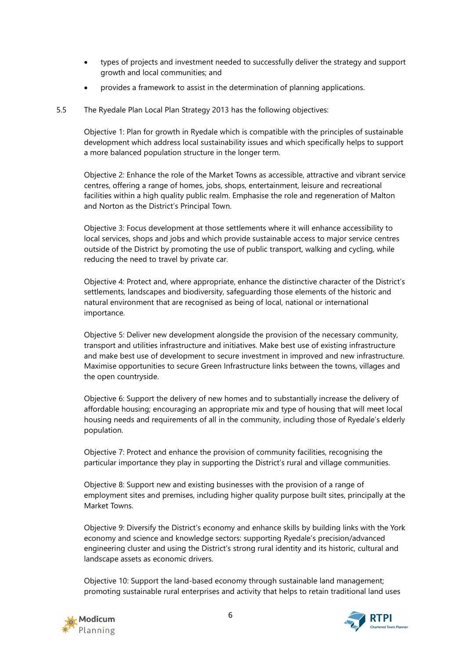- types of projects and investment needed to successfully deliver the strategy and support growth and local communities; and
- provides a framework to assist in the determination of planning applications.
- 5.5 The Ryedale Plan Local Plan Strategy 2013 has the following objectives:

Objective 1: Plan for growth in Ryedale which is compatible with the principles of sustainable development which address local sustainability issues and which specifically helps to support a more balanced population structure in the longer term.

Objective 2: Enhance the role of the Market Towns as accessible, attractive and vibrant service centres, offering a range of homes, jobs, shops, entertainment, leisure and recreational facilities within a high quality public realm. Emphasise the role and regeneration of Malton and Norton as the District's Principal Town.

Objective 3: Focus development at those settlements where it will enhance accessibility to local services, shops and jobs and which provide sustainable access to major service centres outside of the District by promoting the use of public transport, walking and cycling, while reducing the need to travel by private car.

Objective 4: Protect and, where appropriate, enhance the distinctive character of the District's settlements, landscapes and biodiversity, safeguarding those elements of the historic and natural environment that are recognised as being of local, national or international importance.

Objective 5: Deliver new development alongside the provision of the necessary community, transport and utilities infrastructure and initiatives. Make best use of existing infrastructure and make best use of development to secure investment in improved and new infrastructure. Maximise opportunities to secure Green Infrastructure links between the towns, villages and the open countryside.

Objective 6: Support the delivery of new homes and to substantially increase the delivery of affordable housing; encouraging an appropriate mix and type of housing that will meet local housing needs and requirements of all in the community, including those of Ryedale's elderly population.

Objective 7: Protect and enhance the provision of community facilities, recognising the particular importance they play in supporting the District's rural and village communities.

Objective 8: Support new and existing businesses with the provision of a range of employment sites and premises, including higher quality purpose built sites, principally at the Market Towns.

Objective 9: Diversify the District's economy and enhance skills by building links with the York economy and science and knowledge sectors: supporting Ryedale's precision/advanced engineering cluster and using the District's strong rural identity and its historic, cultural and landscape assets as economic drivers.

Objective 10: Support the land-based economy through sustainable land management; promoting sustainable rural enterprises and activity that helps to retain traditional land uses



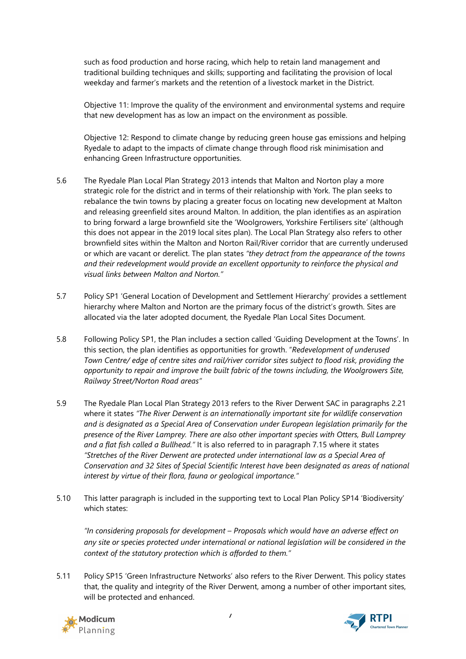such as food production and horse racing, which help to retain land management and traditional building techniques and skills; supporting and facilitating the provision of local weekday and farmer's markets and the retention of a livestock market in the District.

Objective 11: Improve the quality of the environment and environmental systems and require that new development has as low an impact on the environment as possible.

Objective 12: Respond to climate change by reducing green house gas emissions and helping Ryedale to adapt to the impacts of climate change through flood risk minimisation and enhancing Green Infrastructure opportunities.

- 5.6 The Ryedale Plan Local Plan Strategy 2013 intends that Malton and Norton play a more strategic role for the district and in terms of their relationship with York. The plan seeks to rebalance the twin towns by placing a greater focus on locating new development at Malton and releasing greenfield sites around Malton. In addition, the plan identifies as an aspiration to bring forward a large brownfield site the 'Woolgrowers, Yorkshire Fertilisers site' (although this does not appear in the 2019 local sites plan). The Local Plan Strategy also refers to other brownfield sites within the Malton and Norton Rail/River corridor that are currently underused or which are vacant or derelict. The plan states *"they detract from the appearance of the towns and their redevelopment would provide an excellent opportunity to reinforce the physical and visual links between Malton and Norton."*
- 5.7 Policy SP1 'General Location of Development and Settlement Hierarchy' provides a settlement hierarchy where Malton and Norton are the primary focus of the district's growth. Sites are allocated via the later adopted document, the Ryedale Plan Local Sites Document.
- 5.8 Following Policy SP1, the Plan includes a section called 'Guiding Development at the Towns'. In this section, the plan identifies as opportunities for growth. "*Redevelopment of underused Town Centre/ edge of centre sites and rail/river corridor sites subject to flood risk, providing the opportunity to repair and improve the built fabric of the towns including, the Woolgrowers Site, Railway Street/Norton Road areas"*
- 5.9 The Ryedale Plan Local Plan Strategy 2013 refers to the River Derwent SAC in paragraphs 2.21 where it states *"The River Derwent is an internationally important site for wildlife conservation and is designated as a Special Area of Conservation under European legislation primarily for the presence of the River Lamprey. There are also other important species with Otters, Bull Lamprey and a flat fish called a Bullhead."* It is also referred to in paragraph 7.15 where it states *"Stretches of the River Derwent are protected under international law as a Special Area of Conservation and 32 Sites of Special Scientific Interest have been designated as areas of national interest by virtue of their flora, fauna or geological importance."*
- 5.10 This latter paragraph is included in the supporting text to Local Plan Policy SP14 'Biodiversity' which states:

*"In considering proposals for development – Proposals which would have an adverse effect on any site or species protected under international or national legislation will be considered in the context of the statutory protection which is afforded to them."*

5.11 Policy SP15 'Green Infrastructure Networks' also refers to the River Derwent. This policy states that, the quality and integrity of the River Derwent, among a number of other important sites, will be protected and enhanced.



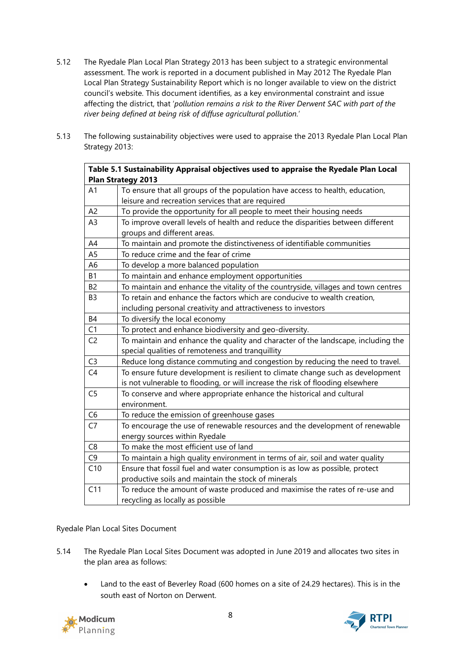- 5.12 The Ryedale Plan Local Plan Strategy 2013 has been subject to a strategic environmental assessment. The work is reported in a document published in May 2012 The Ryedale Plan Local Plan Strategy Sustainability Report which is no longer available to view on the district council's website. This document identifies, as a key environmental constraint and issue affecting the district, that '*pollution remains a risk to the River Derwent SAC with part of the river being defined at being risk of diffuse agricultural pollution.*'
- 5.13 The following sustainability objectives were used to appraise the 2013 Ryedale Plan Local Plan Strategy 2013:

|                | Table 5.1 Sustainability Appraisal objectives used to appraise the Ryedale Plan Local                                                                             |
|----------------|-------------------------------------------------------------------------------------------------------------------------------------------------------------------|
|                | <b>Plan Strategy 2013</b>                                                                                                                                         |
| A <sub>1</sub> | To ensure that all groups of the population have access to health, education,                                                                                     |
|                | leisure and recreation services that are required                                                                                                                 |
| A <sub>2</sub> | To provide the opportunity for all people to meet their housing needs                                                                                             |
| A <sub>3</sub> | To improve overall levels of health and reduce the disparities between different<br>groups and different areas.                                                   |
| A4             | To maintain and promote the distinctiveness of identifiable communities                                                                                           |
| A <sub>5</sub> | To reduce crime and the fear of crime                                                                                                                             |
| A6             | To develop a more balanced population                                                                                                                             |
| <b>B1</b>      | To maintain and enhance employment opportunities                                                                                                                  |
| B2             | To maintain and enhance the vitality of the countryside, villages and town centres                                                                                |
| B <sub>3</sub> | To retain and enhance the factors which are conducive to wealth creation,                                                                                         |
|                | including personal creativity and attractiveness to investors                                                                                                     |
| <b>B4</b>      | To diversify the local economy                                                                                                                                    |
| C1             | To protect and enhance biodiversity and geo-diversity.                                                                                                            |
| C <sub>2</sub> | To maintain and enhance the quality and character of the landscape, including the<br>special qualities of remoteness and tranquillity                             |
| C <sub>3</sub> | Reduce long distance commuting and congestion by reducing the need to travel.                                                                                     |
| C <sub>4</sub> | To ensure future development is resilient to climate change such as development<br>is not vulnerable to flooding, or will increase the risk of flooding elsewhere |
| C <sub>5</sub> | To conserve and where appropriate enhance the historical and cultural<br>environment.                                                                             |
| C <sub>6</sub> | To reduce the emission of greenhouse gases                                                                                                                        |
| C7             | To encourage the use of renewable resources and the development of renewable<br>energy sources within Ryedale                                                     |
| C <sub>8</sub> | To make the most efficient use of land                                                                                                                            |
| C <sub>9</sub> | To maintain a high quality environment in terms of air, soil and water quality                                                                                    |
| C10            | Ensure that fossil fuel and water consumption is as low as possible, protect                                                                                      |
|                | productive soils and maintain the stock of minerals                                                                                                               |
| C11            | To reduce the amount of waste produced and maximise the rates of re-use and<br>recycling as locally as possible                                                   |

## Ryedale Plan Local Sites Document

- 5.14 The Ryedale Plan Local Sites Document was adopted in June 2019 and allocates two sites in the plan area as follows:
	- Land to the east of Beverley Road (600 homes on a site of 24.29 hectares). This is in the south east of Norton on Derwent.



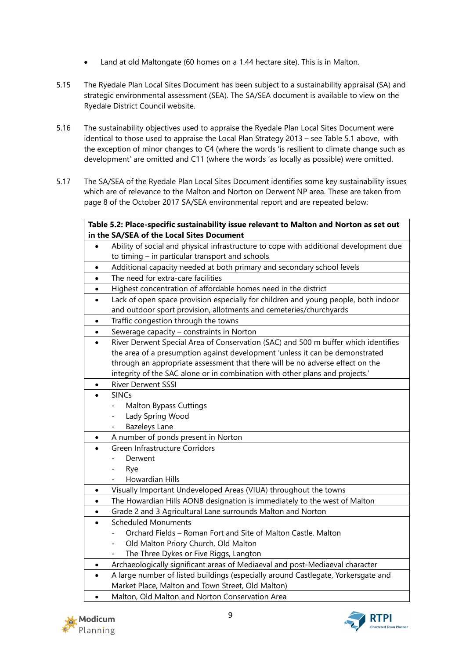- Land at old Maltongate (60 homes on a 1.44 hectare site). This is in Malton.
- 5.15 The Ryedale Plan Local Sites Document has been subject to a sustainability appraisal (SA) and strategic environmental assessment (SEA). The SA/SEA document is available to view on the Ryedale District Council website.
- 5.16 The sustainability objectives used to appraise the Ryedale Plan Local Sites Document were identical to those used to appraise the Local Plan Strategy 2013 – see Table 5.1 above, with the exception of minor changes to C4 (where the words 'is resilient to climate change such as development' are omitted and C11 (where the words 'as locally as possible) were omitted.
- 5.17 The SA/SEA of the Ryedale Plan Local Sites Document identifies some key sustainability issues which are of relevance to the Malton and Norton on Derwent NP area. These are taken from page 8 of the October 2017 SA/SEA environmental report and are repeated below:

|           | Table 5.2: Place-specific sustainability issue relevant to Malton and Norton as set out |
|-----------|-----------------------------------------------------------------------------------------|
|           | in the SA/SEA of the Local Sites Document                                               |
|           | Ability of social and physical infrastructure to cope with additional development due   |
|           | to timing $-$ in particular transport and schools                                       |
| $\bullet$ | Additional capacity needed at both primary and secondary school levels                  |
| $\bullet$ | The need for extra-care facilities                                                      |
| $\bullet$ | Highest concentration of affordable homes need in the district                          |
| $\bullet$ | Lack of open space provision especially for children and young people, both indoor      |
|           | and outdoor sport provision, allotments and cemeteries/churchyards                      |
| $\bullet$ | Traffic congestion through the towns                                                    |
| $\bullet$ | Sewerage capacity - constraints in Norton                                               |
|           | River Derwent Special Area of Conservation (SAC) and 500 m buffer which identifies      |
|           | the area of a presumption against development 'unless it can be demonstrated            |
|           | through an appropriate assessment that there will be no adverse effect on the           |
|           | integrity of the SAC alone or in combination with other plans and projects.'            |
| $\bullet$ | River Derwent SSSI                                                                      |
|           | <b>SINCs</b>                                                                            |
|           | <b>Malton Bypass Cuttings</b><br>$\overline{\phantom{0}}$                               |
|           | Lady Spring Wood<br>$\overline{\phantom{0}}$                                            |
|           | <b>Bazeleys Lane</b><br>$\overline{\phantom{0}}$                                        |
| $\bullet$ | A number of ponds present in Norton                                                     |
|           | Green Infrastructure Corridors                                                          |
|           | Derwent                                                                                 |
|           | Rye                                                                                     |
|           | Howardian Hills                                                                         |
| $\bullet$ | Visually Important Undeveloped Areas (VIUA) throughout the towns                        |
| $\bullet$ | The Howardian Hills AONB designation is immediately to the west of Malton               |
| $\bullet$ | Grade 2 and 3 Agricultural Lane surrounds Malton and Norton                             |
|           | <b>Scheduled Monuments</b>                                                              |
|           | Orchard Fields - Roman Fort and Site of Malton Castle, Malton                           |
|           | Old Malton Priory Church, Old Malton                                                    |
|           | The Three Dykes or Five Riggs, Langton                                                  |
| $\bullet$ | Archaeologically significant areas of Mediaeval and post-Mediaeval character            |
| $\bullet$ | A large number of listed buildings (especially around Castlegate, Yorkersgate and       |
|           | Market Place, Malton and Town Street, Old Malton)                                       |
|           | Malton, Old Malton and Norton Conservation Area                                         |



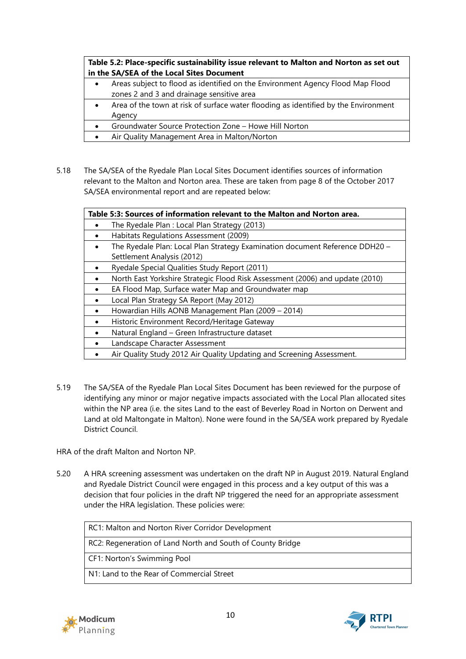**Table 5.2: Place-specific sustainability issue relevant to Malton and Norton as set out in the SA/SEA of the Local Sites Document**

- Areas subject to flood as identified on the Environment Agency Flood Map Flood zones 2 and 3 and drainage sensitive area
- Area of the town at risk of surface water flooding as identified by the Environment Agency
- Groundwater Source Protection Zone Howe Hill Norton
- Air Quality Management Area in Malton/Norton
- 5.18 The SA/SEA of the Ryedale Plan Local Sites Document identifies sources of information relevant to the Malton and Norton area. These are taken from page 8 of the October 2017 SA/SEA environmental report and are repeated below:

| Table 5:3: Sources of information relevant to the Malton and Norton area.                  |  |
|--------------------------------------------------------------------------------------------|--|
| The Ryedale Plan : Local Plan Strategy (2013)                                              |  |
| Habitats Regulations Assessment (2009)<br>٠                                                |  |
| The Ryedale Plan: Local Plan Strategy Examination document Reference DDH20 -               |  |
| Settlement Analysis (2012)                                                                 |  |
| Ryedale Special Qualities Study Report (2011)<br>$\bullet$                                 |  |
| North East Yorkshire Strategic Flood Risk Assessment (2006) and update (2010)<br>$\bullet$ |  |
| EA Flood Map, Surface water Map and Groundwater map                                        |  |
| Local Plan Strategy SA Report (May 2012)<br>$\bullet$                                      |  |
| Howardian Hills AONB Management Plan (2009 - 2014)                                         |  |
| Historic Environment Record/Heritage Gateway                                               |  |
| Natural England - Green Infrastructure dataset                                             |  |
| Landscape Character Assessment<br>$\bullet$                                                |  |
| Air Quality Study 2012 Air Quality Updating and Screening Assessment.<br>$\bullet$         |  |

5.19 The SA/SEA of the Ryedale Plan Local Sites Document has been reviewed for the purpose of identifying any minor or major negative impacts associated with the Local Plan allocated sites within the NP area (i.e. the sites Land to the east of Beverley Road in Norton on Derwent and Land at old Maltongate in Malton). None were found in the SA/SEA work prepared by Ryedale District Council.

HRA of the draft Malton and Norton NP.

5.20 A HRA screening assessment was undertaken on the draft NP in August 2019. Natural England and Ryedale District Council were engaged in this process and a key output of this was a decision that four policies in the draft NP triggered the need for an appropriate assessment under the HRA legislation. These policies were:

RC1: Malton and Norton River Corridor Development RC2: Regeneration of Land North and South of County Bridge CF1: Norton's Swimming Pool N1: Land to the Rear of Commercial Street



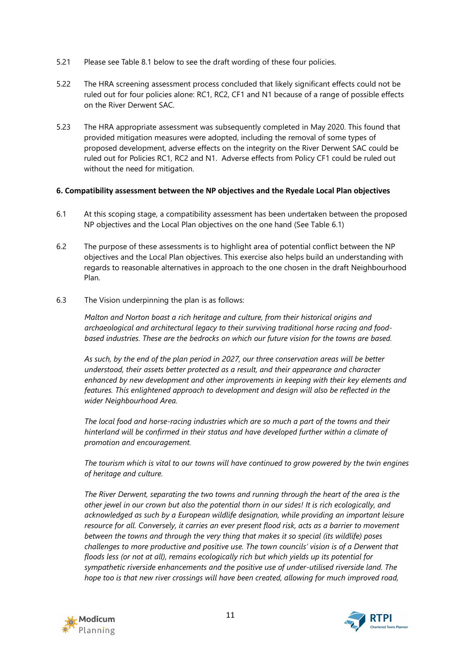- 5.21 Please see Table 8.1 below to see the draft wording of these four policies.
- 5.22 The HRA screening assessment process concluded that likely significant effects could not be ruled out for four policies alone: RC1, RC2, CF1 and N1 because of a range of possible effects on the River Derwent SAC.
- 5.23 The HRA appropriate assessment was subsequently completed in May 2020. This found that provided mitigation measures were adopted, including the removal of some types of proposed development, adverse effects on the integrity on the River Derwent SAC could be ruled out for Policies RC1, RC2 and N1. Adverse effects from Policy CF1 could be ruled out without the need for mitigation.

#### **6. Compatibility assessment between the NP objectives and the Ryedale Local Plan objectives**

- 6.1 At this scoping stage, a compatibility assessment has been undertaken between the proposed NP objectives and the Local Plan objectives on the one hand (See Table 6.1)
- 6.2 The purpose of these assessments is to highlight area of potential conflict between the NP objectives and the Local Plan objectives. This exercise also helps build an understanding with regards to reasonable alternatives in approach to the one chosen in the draft Neighbourhood Plan.
- 6.3 The Vision underpinning the plan is as follows:

*Malton and Norton boast a rich heritage and culture, from their historical origins and archaeological and architectural legacy to their surviving traditional horse racing and foodbased industries. These are the bedrocks on which our future vision for the towns are based.* 

*As such, by the end of the plan period in 2027, our three conservation areas will be better understood, their assets better protected as a result, and their appearance and character enhanced by new development and other improvements in keeping with their key elements and features. This enlightened approach to development and design will also be reflected in the wider Neighbourhood Area.* 

*The local food and horse-racing industries which are so much a part of the towns and their hinterland will be confirmed in their status and have developed further within a climate of promotion and encouragement.* 

*The tourism which is vital to our towns will have continued to grow powered by the twin engines of heritage and culture.* 

*The River Derwent, separating the two towns and running through the heart of the area is the other jewel in our crown but also the potential thorn in our sides! It is rich ecologically, and acknowledged as such by a European wildlife designation, while providing an important leisure resource for all. Conversely, it carries an ever present flood risk, acts as a barrier to movement between the towns and through the very thing that makes it so special (its wildlife) poses challenges to more productive and positive use. The town councils' vision is of a Derwent that floods less (or not at all), remains ecologically rich but which yields up its potential for sympathetic riverside enhancements and the positive use of under-utilised riverside land. The hope too is that new river crossings will have been created, allowing for much improved road,* 



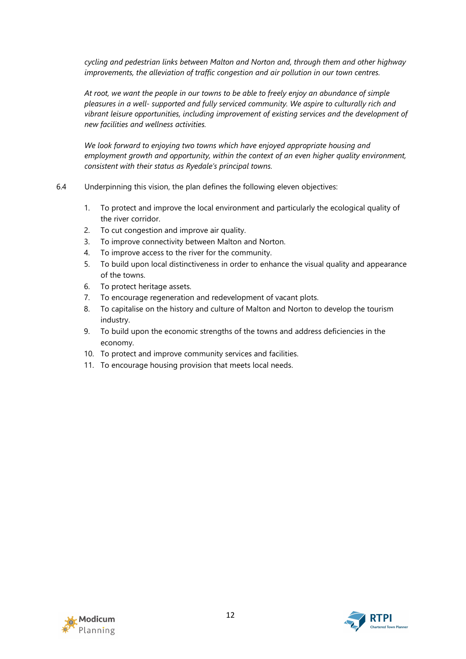*cycling and pedestrian links between Malton and Norton and, through them and other highway improvements, the alleviation of traffic congestion and air pollution in our town centres.* 

*At root, we want the people in our towns to be able to freely enjoy an abundance of simple pleasures in a well- supported and fully serviced community. We aspire to culturally rich and vibrant leisure opportunities, including improvement of existing services and the development of new facilities and wellness activities.* 

*We look forward to enjoying two towns which have enjoyed appropriate housing and employment growth and opportunity, within the context of an even higher quality environment, consistent with their status as Ryedale's principal towns.* 

- 6.4 Underpinning this vision, the plan defines the following eleven objectives:
	- 1. To protect and improve the local environment and particularly the ecological quality of the river corridor.
	- 2. To cut congestion and improve air quality.
	- 3. To improve connectivity between Malton and Norton.
	- 4. To improve access to the river for the community.
	- 5. To build upon local distinctiveness in order to enhance the visual quality and appearance of the towns.
	- 6. To protect heritage assets.
	- 7. To encourage regeneration and redevelopment of vacant plots.
	- 8. To capitalise on the history and culture of Malton and Norton to develop the tourism industry.
	- 9. To build upon the economic strengths of the towns and address deficiencies in the economy.
	- 10. To protect and improve community services and facilities.
	- 11. To encourage housing provision that meets local needs.



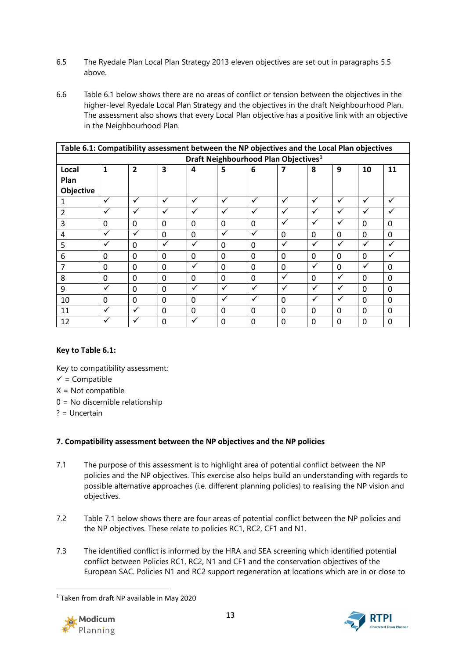- 6.5 The Ryedale Plan Local Plan Strategy 2013 eleven objectives are set out in paragraphs 5.5 above.
- 6.6 Table 6.1 below shows there are no areas of conflict or tension between the objectives in the higher-level Ryedale Local Plan Strategy and the objectives in the draft Neighbourhood Plan. The assessment also shows that every Local Plan objective has a positive link with an objective in the Neighbourhood Plan.

| Table 6.1: Compatibility assessment between the NP objectives and the Local Plan objectives |                                                  |                |          |              |          |              |              |              |              |              |          |
|---------------------------------------------------------------------------------------------|--------------------------------------------------|----------------|----------|--------------|----------|--------------|--------------|--------------|--------------|--------------|----------|
|                                                                                             | Draft Neighbourhood Plan Objectives <sup>1</sup> |                |          |              |          |              |              |              |              |              |          |
| Local                                                                                       | 1                                                | $\overline{2}$ | 3        | 4            | 5        | 6            |              | 8            | 9            | 10           | 11       |
| Plan                                                                                        |                                                  |                |          |              |          |              |              |              |              |              |          |
| Objective                                                                                   |                                                  |                |          |              |          |              |              |              |              |              |          |
|                                                                                             | ✓                                                | √              | ✓        | ✓            | ✓        | $\checkmark$ | ✓            | ✓            | ✓            | ✓            | ✔        |
| 2                                                                                           | ✓                                                | $\checkmark$   | ✓        |              |          | ✓            | ✓            | $\checkmark$ | ✓            | ✓            |          |
| 3                                                                                           | $\Omega$                                         | $\Omega$       | $\Omega$ | 0            | $\Omega$ | $\Omega$     | ✓            | $\checkmark$ | ✓            | $\Omega$     | $\Omega$ |
| 4                                                                                           | ✓                                                | √              | $\Omega$ | $\Omega$     | ✓        | ✓            | $\Omega$     | $\Omega$     | 0            | $\Omega$     | $\Omega$ |
| 5                                                                                           | ✓                                                | $\Omega$       | ✓        | $\checkmark$ | $\Omega$ | $\Omega$     | ✓            | ✓            | ✓            | ✓            |          |
| 6                                                                                           | $\Omega$                                         | $\Omega$       | $\Omega$ | $\Omega$     | $\Omega$ | $\Omega$     | $\Omega$     | $\Omega$     | $\Omega$     | $\Omega$     |          |
| 7                                                                                           | $\mathbf 0$                                      | $\Omega$       | $\Omega$ | ✓            | $\Omega$ | $\Omega$     | 0            | √            | $\Omega$     | ✓            | $\Omega$ |
| 8                                                                                           | $\mathbf{0}$                                     | 0              | $\Omega$ | 0            | $\Omega$ | $\Omega$     | $\checkmark$ | $\Omega$     | ✓            | <sup>0</sup> | $\Omega$ |
| 9                                                                                           | ✓                                                | $\Omega$       | $\Omega$ | ✓            | ✓        | $\checkmark$ | ✓            | $\checkmark$ | ✓            | 0            | 0        |
| 10                                                                                          | $\mathbf{0}$                                     | $\Omega$       | $\Omega$ | $\Omega$     | ✓        | $\checkmark$ | 0            | $\checkmark$ | ✓            | 0            | 0        |
| 11                                                                                          | ✓                                                | v              | $\Omega$ | $\Omega$     | $\Omega$ | $\Omega$     | 0            | $\Omega$     | 0            | 0            | $\Omega$ |
| 12                                                                                          | ✓                                                |                | $\Omega$ | v            | $\Omega$ | $\Omega$     | $\Omega$     | $\Omega$     | <sup>0</sup> | $\Omega$     | $\Omega$ |

## **Key to Table 6.1:**

- Key to compatibility assessment:
- $\checkmark$  = Compatible
- $X = Not$  compatible
- 0 = No discernible relationship
- ? = Uncertain

## **7. Compatibility assessment between the NP objectives and the NP policies**

- 7.1 The purpose of this assessment is to highlight area of potential conflict between the NP policies and the NP objectives. This exercise also helps build an understanding with regards to possible alternative approaches (i.e. different planning policies) to realising the NP vision and objectives.
- 7.2 Table 7.1 below shows there are four areas of potential conflict between the NP policies and the NP objectives. These relate to policies RC1, RC2, CF1 and N1.
- 7.3 The identified conflict is informed by the HRA and SEA screening which identified potential conflict between Policies RC1, RC2, N1 and CF1 and the conservation objectives of the European SAC. Policies N1 and RC2 support regeneration at locations which are in or close to

<span id="page-12-0"></span><sup>1</sup> Taken from draft NP available in May 2020



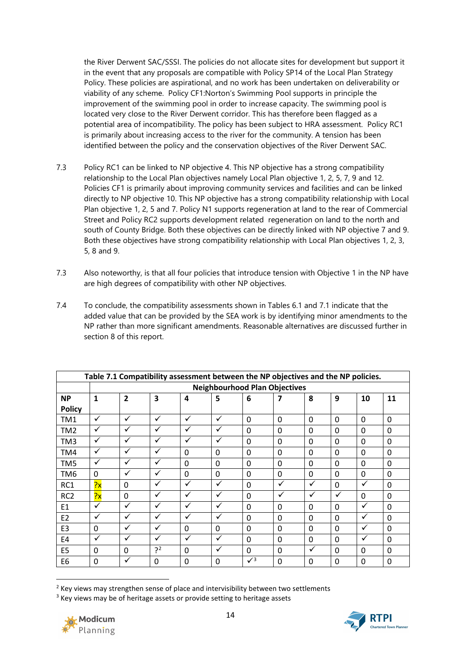the River Derwent SAC/SSSI. The policies do not allocate sites for development but support it in the event that any proposals are compatible with Policy SP14 of the Local Plan Strategy Policy. These policies are aspirational, and no work has been undertaken on deliverability or viability of any scheme. Policy CF1:Norton's Swimming Pool supports in principle the improvement of the swimming pool in order to increase capacity. The swimming pool is located very close to the River Derwent corridor. This has therefore been flagged as a potential area of incompatibility. The policy has been subject to HRA assessment. Policy RC1 is primarily about increasing access to the river for the community. A tension has been identified between the policy and the conservation objectives of the River Derwent SAC.

- 7.3 Policy RC1 can be linked to NP objective 4. This NP objective has a strong compatibility relationship to the Local Plan objectives namely Local Plan objective 1, 2, 5, 7, 9 and 12. Policies CF1 is primarily about improving community services and facilities and can be linked directly to NP objective 10. This NP objective has a strong compatibility relationship with Local Plan objective 1, 2, 5 and 7. Policy N1 supports regeneration at land to the rear of Commercial Street and Policy RC2 supports development related regeneration on land to the north and south of County Bridge. Both these objectives can be directly linked with NP objective 7 and 9. Both these objectives have strong compatibility relationship with Local Plan objectives 1, 2, 3, 5, 8 and 9.
- 7.3 Also noteworthy, is that all four policies that introduce tension with Objective 1 in the NP have are high degrees of compatibility with other NP objectives.
- 7.4 To conclude, the compatibility assessments shown in Tables 6.1 and 7.1 indicate that the added value that can be provided by the SEA work is by identifying minor amendments to the NP rather than more significant amendments. Reasonable alternatives are discussed further in section 8 of this report.

| Table 7.1 Compatibility assessment between the NP objectives and the NP policies. |                                      |                |              |                |              |            |              |              |          |              |          |
|-----------------------------------------------------------------------------------|--------------------------------------|----------------|--------------|----------------|--------------|------------|--------------|--------------|----------|--------------|----------|
|                                                                                   | <b>Neighbourhood Plan Objectives</b> |                |              |                |              |            |              |              |          |              |          |
| <b>NP</b>                                                                         | $\mathbf{1}$                         | $\overline{2}$ | 3            | $\overline{4}$ | 5            | 6          | 7            | 8            | 9        | 10           | 11       |
| <b>Policy</b>                                                                     |                                      |                |              |                |              |            |              |              |          |              |          |
| TM1                                                                               | ✓                                    | ✓              | $\checkmark$ | $\checkmark$   | $\checkmark$ | $\Omega$   | $\mathbf 0$  | $\Omega$     | $\Omega$ | $\Omega$     | 0        |
| TM <sub>2</sub>                                                                   | $\checkmark$                         | ✓              | ✓            | ✓              | ✓            | $\Omega$   | $\Omega$     | $\Omega$     | $\Omega$ | $\Omega$     | 0        |
| TM3                                                                               | $\checkmark$                         | ✓              | ✓            | ✓              | ✓            | $\Omega$   | $\Omega$     | $\Omega$     | $\Omega$ | <sup>0</sup> | 0        |
| TM4                                                                               | ✓                                    | ✓              | ✓            | 0              | 0            | 0          | 0            | 0            | 0        | 0            | 0        |
| TM5                                                                               | ✓                                    | ✓              | ✓            | 0              | 0            | 0          | 0            | 0            | 0        | $\Omega$     | 0        |
| TM6                                                                               | 0                                    | ✓              | ✓            | $\mathbf 0$    | $\mathbf{0}$ | $\Omega$   | $\mathbf 0$  | $\Omega$     | $\Omega$ | $\Omega$     | 0        |
| RC <sub>1</sub>                                                                   | $\frac{1}{2}x$                       | $\Omega$       | ✓            | $\checkmark$   | ✓            | $\Omega$   | $\checkmark$ | $\checkmark$ | $\Omega$ | ✓            | 0        |
| RC <sub>2</sub>                                                                   | $\frac{1}{2}x$                       | $\Omega$       | $\checkmark$ | $\checkmark$   | $\checkmark$ | $\Omega$   | ✓            | ✓            | ✓        | $\Omega$     | 0        |
| E <sub>1</sub>                                                                    | $\checkmark$                         | ✓              | ✓            | ✓              | $\checkmark$ | $\Omega$   | $\Omega$     | $\Omega$     | $\Omega$ | ✓            | 0        |
| E <sub>2</sub>                                                                    | $\checkmark$                         | ✓              | ✓            | ✓              | $\checkmark$ | $\Omega$   | $\Omega$     | $\Omega$     | $\Omega$ | ✓            | 0        |
| E <sub>3</sub>                                                                    | $\mathbf 0$                          | ✓              | ✓            | $\Omega$       | 0            | $\Omega$   | $\Omega$     | $\Omega$     | $\Omega$ | ✓            | 0        |
| E4                                                                                | ✓                                    | ✓              | $\checkmark$ | $\checkmark$   | ✓            | 0          | 0            | $\Omega$     | $\Omega$ | ✓            | 0        |
| E <sub>5</sub>                                                                    | $\mathbf 0$                          | $\Omega$       | 22           | $\Omega$       | ✓            | $\Omega$   | $\Omega$     | $\checkmark$ | $\Omega$ | $\Omega$     | 0        |
| E <sub>6</sub>                                                                    | $\mathbf 0$                          | ✓              | 0            | $\Omega$       | $\mathbf 0$  | $\sqrt{3}$ | $\Omega$     | $\Omega$     | $\Omega$ | <sup>0</sup> | $\Omega$ |

<span id="page-13-0"></span><sup>&</sup>lt;sup>2</sup> Key views may strengthen sense of place and intervisibility between two settlements

<span id="page-13-1"></span><sup>&</sup>lt;sup>3</sup> Key views may be of heritage assets or provide setting to heritage assets

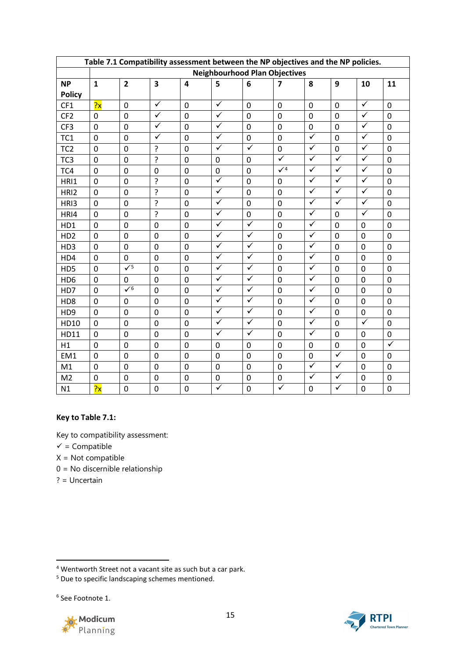| Table 7.1 Compatibility assessment between the NP objectives and the NP policies. |                 |                                      |                         |                |                         |                         |                         |                         |                      |                         |                |
|-----------------------------------------------------------------------------------|-----------------|--------------------------------------|-------------------------|----------------|-------------------------|-------------------------|-------------------------|-------------------------|----------------------|-------------------------|----------------|
|                                                                                   |                 | <b>Neighbourhood Plan Objectives</b> |                         |                |                         |                         |                         |                         |                      |                         |                |
| <b>NP</b>                                                                         | $\mathbf{1}$    | $\overline{2}$                       | $\overline{\mathbf{3}}$ | $\overline{4}$ | 5                       | $6\phantom{1}6$         | $\overline{\mathbf{z}}$ | 8                       | 9                    | 10                      | 11             |
| <b>Policy</b>                                                                     |                 |                                      |                         |                |                         |                         |                         |                         |                      |                         |                |
| CF1                                                                               | $\overline{?x}$ | 0                                    | $\checkmark$            | 0              | $\checkmark$            | $\mathbf 0$             | 0                       | $\mathbf 0$             | $\mathbf 0$          | $\checkmark$            | $\mathbf 0$    |
| CF <sub>2</sub>                                                                   | $\mathbf 0$     | 0                                    | $\checkmark$            | $\mathbf 0$    | $\checkmark$            | 0                       | 0                       | $\mathbf 0$             | $\overline{0}$       | $\checkmark$            | $\mathbf 0$    |
| CF3                                                                               | $\mathbf 0$     | $\Omega$                             | $\checkmark$            | $\mathbf 0$    | $\checkmark$            | $\overline{0}$          | 0                       | $\mathbf 0$             | $\Omega$             | $\checkmark$            | $\mathbf 0$    |
| TC <sub>1</sub>                                                                   | 0               | $\mathbf 0$                          | $\checkmark$            | 0              | $\checkmark$            | 0                       | 0                       | $\checkmark$            | $\mathbf{0}$         | $\checkmark$            | 0              |
| TC <sub>2</sub>                                                                   | 0               | $\mathbf 0$                          | ?                       | $\mathbf 0$    | $\checkmark$            | $\overline{\checkmark}$ | 0                       | ✓                       | 0                    | $\checkmark$            | 0              |
| TC <sub>3</sub>                                                                   | $\overline{0}$  | $\mathbf 0$                          | <sup>2</sup>            | $\mathbf 0$    | $\mathbf 0$             | 0                       | $\overline{\checkmark}$ | $\checkmark$            | $\checkmark$         | $\checkmark$            | $\overline{0}$ |
| TC4                                                                               | 0               | $\mathbf 0$                          | 0                       | $\mathbf 0$    | $\pmb{0}$               | $\mathbf 0$             | $\sqrt{4}$              | $\checkmark$            | $\checkmark$         | $\checkmark$            | $\mathbf 0$    |
| HRI1                                                                              | $\mathbf 0$     | $\overline{0}$                       | ?                       | $\mathbf 0$    | $\overline{\checkmark}$ | $\mathbf 0$             | 0                       | $\overline{\checkmark}$ | $\blacktriangledown$ | $\overline{\checkmark}$ | $\mathbf 0$    |
| HRI2                                                                              | $\mathbf 0$     | $\mathbf 0$                          | ?                       | 0              | $\checkmark$            | $\mathbf 0$             | 0                       | $\checkmark$            | $\checkmark$         | $\checkmark$            | 0              |
| HRI3                                                                              | 0               | $\mathbf 0$                          | ?                       | 0              | $\checkmark$            | $\mathbf 0$             | 0                       | $\checkmark$            | $\checkmark$         | $\checkmark$            | 0              |
| HRI4                                                                              | $\overline{0}$  | $\mathbf 0$                          | <sup>2</sup>            | $\mathbf 0$    | $\checkmark$            | 0                       | 0                       | $\checkmark$            | $\overline{0}$       | $\overline{\checkmark}$ | $\overline{0}$ |
| HD1                                                                               | $\mathbf{0}$    | $\mathbf 0$                          | 0                       | 0              | $\checkmark$            | $\overline{\checkmark}$ | 0                       | $\checkmark$            | $\mathbf 0$          | 0                       | $\mathbf 0$    |
| HD <sub>2</sub>                                                                   | 0               | $\mathbf 0$                          | $\mathbf 0$             | 0              | $\checkmark$            | $\checkmark$            | 0                       | $\checkmark$            | $\mathbf 0$          | $\mathbf 0$             | 0              |
| HD3                                                                               | $\mathbf 0$     | 0                                    | $\overline{0}$          | 0              | $\overline{\checkmark}$ | $\blacktriangledown$    | 0                       | $\checkmark$            | $\overline{0}$       | $\overline{0}$          | $\mathbf 0$    |
| HD4                                                                               | $\mathbf 0$     | $\Omega$                             | $\mathbf 0$             | 0              | $\checkmark$            | $\checkmark$            | 0                       | $\checkmark$            | $\mathbf 0$          | 0                       | $\mathbf 0$    |
| HD5                                                                               | $\mathbf 0$     | $\sqrt{5}$                           | $\mathbf 0$             | $\mathbf 0$    | $\checkmark$            | $\overline{\checkmark}$ | $\overline{0}$          | $\checkmark$            | $\overline{0}$       | $\mathbf 0$             | $\mathbf 0$    |
| HD <sub>6</sub>                                                                   | $\mathbf 0$     | $\Omega$                             | $\mathbf 0$             | 0              | $\checkmark$            | $\checkmark$            | $\Omega$                | $\checkmark$            | $\Omega$             | 0                       | $\mathbf 0$    |
| HD7                                                                               | $\mathbf 0$     | $\checkmark$                         | $\mathbf 0$             | $\mathbf 0$    | $\checkmark$            | $\checkmark$            | 0                       | $\checkmark$            | $\mathbf 0$          | $\overline{0}$          | $\mathbf 0$    |
| HD <sub>8</sub>                                                                   | $\mathbf 0$     | 0                                    | 0                       | $\mathbf 0$    | $\checkmark$            | $\checkmark$            | 0                       | $\checkmark$            | $\mathbf 0$          | $\mathbf 0$             | $\mathbf 0$    |
| HD <sub>9</sub>                                                                   | $\mathbf 0$     | $\Omega$                             | $\overline{0}$          | $\Omega$       | $\checkmark$            | $\checkmark$            | $\Omega$                | $\checkmark$            | $\mathbf 0$          | 0                       | $\mathbf 0$    |
| HD10                                                                              | $\mathbf 0$     | 0                                    | 0                       | $\mathbf 0$    | $\checkmark$            | $\checkmark$            | 0                       | $\checkmark$            | $\mathbf 0$          | $\checkmark$            | 0              |
| HD11                                                                              | $\mathbf 0$     | $\mathbf 0$                          | $\overline{0}$          | $\mathbf 0$    | $\checkmark$            | $\sqrt{ }$              | 0                       | $\checkmark$            | $\overline{0}$       | 0                       | 0              |
| H1                                                                                | $\overline{0}$  | $\overline{0}$                       | $\overline{0}$          | $\mathbf 0$    | $\mathbf 0$             | $\overline{0}$          | 0                       | $\mathbf 0$             | $\overline{0}$       | $\overline{0}$          | $\checkmark$   |
| EM1                                                                               | 0               | 0                                    | 0                       | 0              | 0                       | 0                       | 0                       | 0                       | $\checkmark$         | 0                       | 0              |
| M1                                                                                | $\mathbf 0$     | $\overline{0}$                       | 0                       | $\mathbf 0$    | $\boldsymbol{0}$        | $\mathbf 0$             | 0                       | $\checkmark$            | $\checkmark$         | $\mathbf 0$             | $\overline{0}$ |
| M <sub>2</sub>                                                                    | 0               | $\mathbf 0$                          | 0                       | $\mathbf 0$    | 0                       | 0                       | 0                       | $\checkmark$            | $\checkmark$         | $\mathbf 0$             | $\mathbf 0$    |
| N1                                                                                | $\overline{?x}$ | $\mathbf 0$                          | 0                       | 0              | $\checkmark$            | 0                       | ✓                       | 0                       | $\checkmark$         | $\mathbf 0$             | 0              |

## **Key to Table 7.1:**

Key to compatibility assessment:

 $\checkmark$  = Compatible

 $X = Not compatible$ 

0 = No discernible relationship

? = Uncertain

<span id="page-14-2"></span><sup>6</sup> See Footnote 1.





<span id="page-14-0"></span><sup>4</sup> Wentworth Street not a vacant site as such but a car park.

<span id="page-14-1"></span> $5$  Due to specific landscaping schemes mentioned.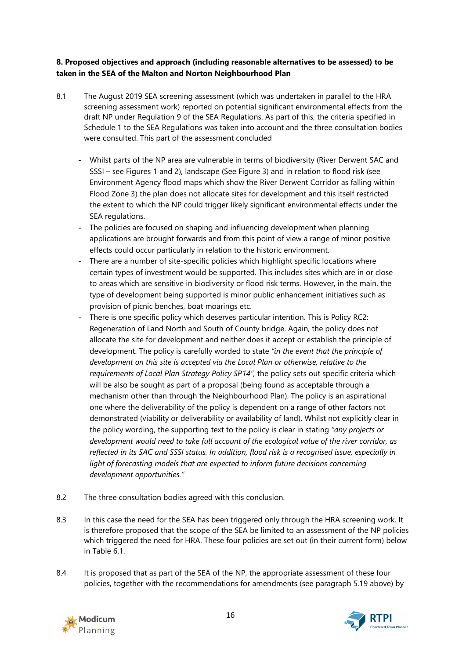# **8. Proposed objectives and approach (including reasonable alternatives to be assessed) to be taken in the SEA of the Malton and Norton Neighbourhood Plan**

- 8.1 The August 2019 SEA screening assessment (which was undertaken in parallel to the HRA screening assessment work) reported on potential significant environmental effects from the draft NP under Regulation 9 of the SEA Regulations. As part of this, the criteria specified in Schedule 1 to the SEA Regulations was taken into account and the three consultation bodies were consulted. This part of the assessment concluded
	- Whilst parts of the NP area are vulnerable in terms of biodiversity (River Derwent SAC and SSSI – see Figures 1 and 2), landscape (See Figure 3) and in relation to flood risk (see Environment Agency flood maps which show the River Derwent Corridor as falling within Flood Zone 3) the plan does not allocate sites for development and this itself restricted the extent to which the NP could trigger likely significant environmental effects under the SEA regulations.
	- The policies are focused on shaping and influencing development when planning applications are brought forwards and from this point of view a range of minor positive effects could occur particularly in relation to the historic environment.
	- There are a number of site-specific policies which highlight specific locations where certain types of investment would be supported. This includes sites which are in or close to areas which are sensitive in biodiversity or flood risk terms. However, in the main, the type of development being supported is minor public enhancement initiatives such as provision of picnic benches, boat moarings etc.
	- There is one specific policy which deserves particular intention. This is Policy RC2: Regeneration of Land North and South of County bridge. Again, the policy does not allocate the site for development and neither does it accept or establish the principle of development. The policy is carefully worded to state *"in the event that the principle of development on this site is accepted via the Local Plan or otherwise, relative to the requirements of Local Plan Strategy Policy SP14",* the policy sets out specific criteria which will be also be sought as part of a proposal (being found as acceptable through a mechanism other than through the Neighbourhood Plan). The policy is an aspirational one where the deliverability of the policy is dependent on a range of other factors not demonstrated (viability or deliverability or availability of land). Whilst not explicitly clear in the policy wording, the supporting text to the policy is clear in stating *"any projects or development would need to take full account of the ecological value of the river corridor, as reflected in its SAC and SSSI status. In addition, flood risk is a recognised issue, especially in*  light of forecasting models that are expected to inform future decisions concerning *development opportunities."*
- 8.2 The three consultation bodies agreed with this conclusion.
- 8.3 In this case the need for the SEA has been triggered only through the HRA screening work. It is therefore proposed that the scope of the SEA be limited to an assessment of the NP policies which triggered the need for HRA. These four policies are set out (in their current form) below in Table 6.1.
- 8.4 It is proposed that as part of the SEA of the NP, the appropriate assessment of these four policies, together with the recommendations for amendments (see paragraph 5.19 above) by



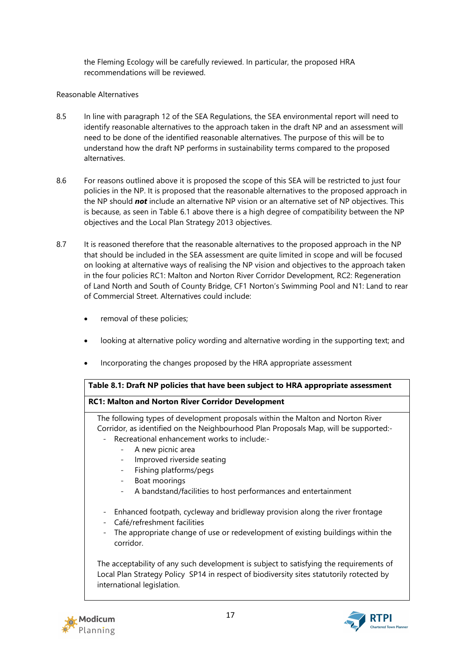the Fleming Ecology will be carefully reviewed. In particular, the proposed HRA recommendations will be reviewed.

# Reasonable Alternatives

- 8.5 In line with paragraph 12 of the SEA Regulations, the SEA environmental report will need to identify reasonable alternatives to the approach taken in the draft NP and an assessment will need to be done of the identified reasonable alternatives. The purpose of this will be to understand how the draft NP performs in sustainability terms compared to the proposed alternatives.
- 8.6 For reasons outlined above it is proposed the scope of this SEA will be restricted to just four policies in the NP. It is proposed that the reasonable alternatives to the proposed approach in the NP should *not* include an alternative NP vision or an alternative set of NP objectives. This is because, as seen in Table 6.1 above there is a high degree of compatibility between the NP objectives and the Local Plan Strategy 2013 objectives.
- 8.7 It is reasoned therefore that the reasonable alternatives to the proposed approach in the NP that should be included in the SEA assessment are quite limited in scope and will be focused on looking at alternative ways of realising the NP vision and objectives to the approach taken in the four policies RC1: Malton and Norton River Corridor Development, RC2: Regeneration of Land North and South of County Bridge, CF1 Norton's Swimming Pool and N1: Land to rear of Commercial Street. Alternatives could include:
	- removal of these policies;
	- looking at alternative policy wording and alternative wording in the supporting text; and
	- Incorporating the changes proposed by the HRA appropriate assessment

## **Table 8.1: Draft NP policies that have been subject to HRA appropriate assessment**

# **RC1: Malton and Norton River Corridor Development**

The following types of development proposals within the Malton and Norton River Corridor, as identified on the Neighbourhood Plan Proposals Map, will be supported:- - Recreational enhancement works to include:-

- A new picnic area
- Improved riverside seating
- Fishing platforms/pegs
- Boat moorings
- A bandstand/facilities to host performances and entertainment
- Enhanced footpath, cycleway and bridleway provision along the river frontage
- Café/refreshment facilities
- The appropriate change of use or redevelopment of existing buildings within the corridor.

The acceptability of any such development is subject to satisfying the requirements of Local Plan Strategy Policy SP14 in respect of biodiversity sites statutorily rotected by international legislation.



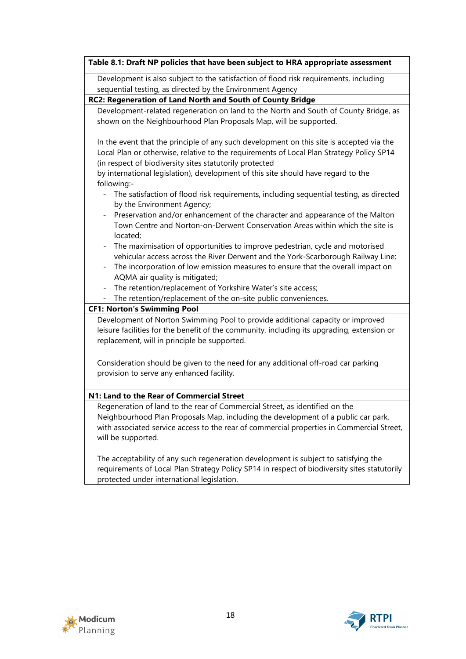|                                                      | Development is also subject to the satisfaction of flood risk requirements, including                                                                                                                                                                                                 |
|------------------------------------------------------|---------------------------------------------------------------------------------------------------------------------------------------------------------------------------------------------------------------------------------------------------------------------------------------|
|                                                      | sequential testing, as directed by the Environment Agency                                                                                                                                                                                                                             |
|                                                      | RC2: Regeneration of Land North and South of County Bridge                                                                                                                                                                                                                            |
|                                                      | Development-related regeneration on land to the North and South of County Bridge, as                                                                                                                                                                                                  |
|                                                      | shown on the Neighbourhood Plan Proposals Map, will be supported.                                                                                                                                                                                                                     |
|                                                      | In the event that the principle of any such development on this site is accepted via the<br>Local Plan or otherwise, relative to the requirements of Local Plan Strategy Policy SP14<br>(in respect of biodiversity sites statutorily protected                                       |
| following:-                                          | by international legislation), development of this site should have regard to the                                                                                                                                                                                                     |
|                                                      | The satisfaction of flood risk requirements, including sequential testing, as directed<br>by the Environment Agency;                                                                                                                                                                  |
|                                                      | Preservation and/or enhancement of the character and appearance of the Malton<br>Town Centre and Norton-on-Derwent Conservation Areas within which the site is<br>located;                                                                                                            |
| $\overline{\phantom{a}}$<br>$\overline{\phantom{a}}$ | The maximisation of opportunities to improve pedestrian, cycle and motorised<br>vehicular access across the River Derwent and the York-Scarborough Railway Line;<br>The incorporation of low emission measures to ensure that the overall impact on<br>AQMA air quality is mitigated; |
|                                                      | The retention/replacement of Yorkshire Water's site access;                                                                                                                                                                                                                           |
|                                                      | The retention/replacement of the on-site public conveniences.                                                                                                                                                                                                                         |
|                                                      | <b>CF1: Norton's Swimming Pool</b>                                                                                                                                                                                                                                                    |
|                                                      | Development of Norton Swimming Pool to provide additional capacity or improved<br>leisure facilities for the benefit of the community, including its upgrading, extension or<br>replacement, will in principle be supported.                                                          |
|                                                      | Consideration should be given to the need for any additional off-road car parking<br>provision to serve any enhanced facility.                                                                                                                                                        |
|                                                      | N1: Land to the Rear of Commercial Street                                                                                                                                                                                                                                             |
|                                                      | Regeneration of land to the rear of Commercial Street, as identified on the                                                                                                                                                                                                           |
|                                                      | Neighbourhood Plan Proposals Map, including the development of a public car park,<br>with associated service access to the rear of commercial properties in Commercial Street,<br>will be supported.                                                                                  |
|                                                      | The acceptability of any such regeneration development is subject to satisfying the<br>requirements of Local Plan Strategy Policy SP14 in respect of biodiversity sites statutorily                                                                                                   |



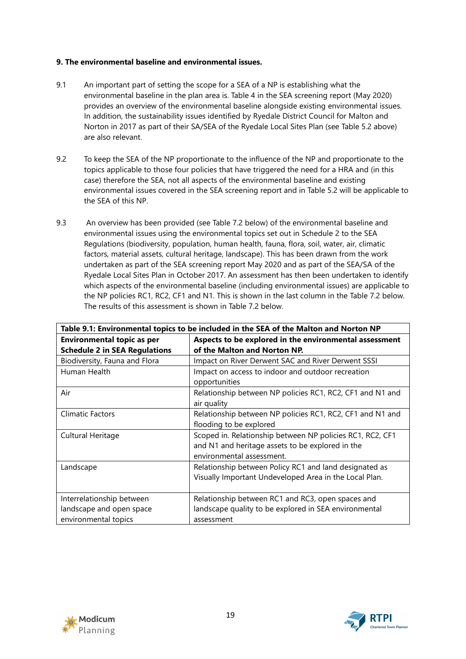### **9. The environmental baseline and environmental issues.**

- 9.1 An important part of setting the scope for a SEA of a NP is establishing what the environmental baseline in the plan area is. Table 4 in the SEA screening report (May 2020) provides an overview of the environmental baseline alongside existing environmental issues. In addition, the sustainability issues identified by Ryedale District Council for Malton and Norton in 2017 as part of their SA/SEA of the Ryedale Local Sites Plan (see Table 5.2 above) are also relevant.
- 9.2 To keep the SEA of the NP proportionate to the influence of the NP and proportionate to the topics applicable to those four policies that have triggered the need for a HRA and (in this case) therefore the SEA, not all aspects of the environmental baseline and existing environmental issues covered in the SEA screening report and in Table 5.2 will be applicable to the SEA of this NP.
- 9.3 An overview has been provided (see Table 7.2 below) of the environmental baseline and environmental issues using the environmental topics set out in Schedule 2 to the SEA Regulations (biodiversity, population, human health, fauna, flora, soil, water, air, climatic factors, material assets, cultural heritage, landscape). This has been drawn from the work undertaken as part of the SEA screening report May 2020 and as part of the SEA/SA of the Ryedale Local Sites Plan in October 2017. An assessment has then been undertaken to identify which aspects of the environmental baseline (including environmental issues) are applicable to the NP policies RC1, RC2, CF1 and N1. This is shown in the last column in the Table 7.2 below. The results of this assessment is shown in Table 7.2 below.

| Table 9.1: Environmental topics to be included in the SEA of the Malton and Norton NP |                                                                                                                                            |  |  |  |  |  |  |
|---------------------------------------------------------------------------------------|--------------------------------------------------------------------------------------------------------------------------------------------|--|--|--|--|--|--|
| <b>Environmental topic as per</b>                                                     | Aspects to be explored in the environmental assessment                                                                                     |  |  |  |  |  |  |
| <b>Schedule 2 in SEA Regulations</b>                                                  | of the Malton and Norton NP.                                                                                                               |  |  |  |  |  |  |
| Biodiversity, Fauna and Flora                                                         | Impact on River Derwent SAC and River Derwent SSSI                                                                                         |  |  |  |  |  |  |
| Human Health                                                                          | Impact on access to indoor and outdoor recreation<br>opportunities                                                                         |  |  |  |  |  |  |
| Air                                                                                   | Relationship between NP policies RC1, RC2, CF1 and N1 and<br>air quality                                                                   |  |  |  |  |  |  |
| <b>Climatic Factors</b>                                                               | Relationship between NP policies RC1, RC2, CF1 and N1 and<br>flooding to be explored                                                       |  |  |  |  |  |  |
| Cultural Heritage                                                                     | Scoped in. Relationship between NP policies RC1, RC2, CF1<br>and N1 and heritage assets to be explored in the<br>environmental assessment. |  |  |  |  |  |  |
| Landscape                                                                             | Relationship between Policy RC1 and land designated as<br>Visually Important Undeveloped Area in the Local Plan.                           |  |  |  |  |  |  |
| Interrelationship between<br>landscape and open space<br>environmental topics         | Relationship between RC1 and RC3, open spaces and<br>landscape quality to be explored in SEA environmental<br>assessment                   |  |  |  |  |  |  |



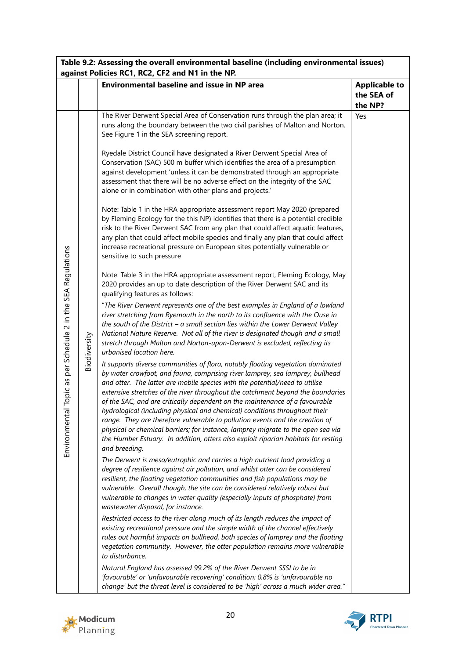| Table 9.2: Assessing the overall environmental baseline (including environmental issues)<br>against Policies RC1, RC2, CF2 and N1 in the NP. |              |                                                                                                                                                                                                                                                                                                                                                                                                                                                                                                                                                                                                                                                                                                                                                                                                                                                                                                                                                                                                                                                                                                                                                                                                                                                                                                                                                                                                                                                                                                                                                                                                                                                                                                                                                                                                                                                                                                                                                                                                                                                                                                                                                                                                                                                                                                                                                                                                                                                                                                                                                                                                                                                                                                                                                                                                                                                                                                                                                                                                                                                                                                                                                                                                                                                                                                 |                                               |  |  |  |  |
|----------------------------------------------------------------------------------------------------------------------------------------------|--------------|-------------------------------------------------------------------------------------------------------------------------------------------------------------------------------------------------------------------------------------------------------------------------------------------------------------------------------------------------------------------------------------------------------------------------------------------------------------------------------------------------------------------------------------------------------------------------------------------------------------------------------------------------------------------------------------------------------------------------------------------------------------------------------------------------------------------------------------------------------------------------------------------------------------------------------------------------------------------------------------------------------------------------------------------------------------------------------------------------------------------------------------------------------------------------------------------------------------------------------------------------------------------------------------------------------------------------------------------------------------------------------------------------------------------------------------------------------------------------------------------------------------------------------------------------------------------------------------------------------------------------------------------------------------------------------------------------------------------------------------------------------------------------------------------------------------------------------------------------------------------------------------------------------------------------------------------------------------------------------------------------------------------------------------------------------------------------------------------------------------------------------------------------------------------------------------------------------------------------------------------------------------------------------------------------------------------------------------------------------------------------------------------------------------------------------------------------------------------------------------------------------------------------------------------------------------------------------------------------------------------------------------------------------------------------------------------------------------------------------------------------------------------------------------------------------------------------------------------------------------------------------------------------------------------------------------------------------------------------------------------------------------------------------------------------------------------------------------------------------------------------------------------------------------------------------------------------------------------------------------------------------------------------------------------------|-----------------------------------------------|--|--|--|--|
|                                                                                                                                              |              | <b>Environmental baseline and issue in NP area</b>                                                                                                                                                                                                                                                                                                                                                                                                                                                                                                                                                                                                                                                                                                                                                                                                                                                                                                                                                                                                                                                                                                                                                                                                                                                                                                                                                                                                                                                                                                                                                                                                                                                                                                                                                                                                                                                                                                                                                                                                                                                                                                                                                                                                                                                                                                                                                                                                                                                                                                                                                                                                                                                                                                                                                                                                                                                                                                                                                                                                                                                                                                                                                                                                                                              | <b>Applicable to</b><br>the SEA of<br>the NP? |  |  |  |  |
| Topic as per Schedule 2 in the SEA Regulations<br>Environmenta                                                                               | Biodiversity | The River Derwent Special Area of Conservation runs through the plan area; it<br>runs along the boundary between the two civil parishes of Malton and Norton.<br>See Figure 1 in the SEA screening report.<br>Ryedale District Council have designated a River Derwent Special Area of<br>Conservation (SAC) 500 m buffer which identifies the area of a presumption<br>against development 'unless it can be demonstrated through an appropriate<br>assessment that there will be no adverse effect on the integrity of the SAC<br>alone or in combination with other plans and projects.'<br>Note: Table 1 in the HRA appropriate assessment report May 2020 (prepared<br>by Fleming Ecology for the this NP) identifies that there is a potential credible<br>risk to the River Derwent SAC from any plan that could affect aquatic features,<br>any plan that could affect mobile species and finally any plan that could affect<br>increase recreational pressure on European sites potentially vulnerable or<br>sensitive to such pressure<br>Note: Table 3 in the HRA appropriate assessment report, Fleming Ecology, May<br>2020 provides an up to date description of the River Derwent SAC and its<br>qualifying features as follows:<br>"The River Derwent represents one of the best examples in England of a lowland<br>river stretching from Ryemouth in the north to its confluence with the Ouse in<br>the south of the District $-$ a small section lies within the Lower Derwent Valley<br>National Nature Reserve. Not all of the river is designated though and a small<br>stretch through Malton and Norton-upon-Derwent is excluded, reflecting its<br>urbanised location here.<br>It supports diverse communities of flora, notably floating vegetation dominated<br>by water crowfoot, and fauna, comprising river lamprey, sea lamprey, bullhead<br>and otter. The latter are mobile species with the potential/need to utilise<br>extensive stretches of the river throughout the catchment beyond the boundaries<br>of the SAC, and are critically dependent on the maintenance of a favourable<br>hydrological (including physical and chemical) conditions throughout their<br>range. They are therefore vulnerable to pollution events and the creation of<br>physical or chemical barriers; for instance, lamprey migrate to the open sea via<br>the Humber Estuary. In addition, otters also exploit riparian habitats for resting<br>and breeding.<br>The Derwent is meso/eutrophic and carries a high nutrient load providing a<br>degree of resilience against air pollution, and whilst otter can be considered<br>resilient, the floating vegetation communities and fish populations may be<br>vulnerable. Overall though, the site can be considered relatively robust but<br>vulnerable to changes in water quality (especially inputs of phosphate) from<br>wastewater disposal, for instance.<br>Restricted access to the river along much of its length reduces the impact of<br>existing recreational pressure and the simple width of the channel effectively<br>rules out harmful impacts on bullhead, both species of lamprey and the floating<br>vegetation community. However, the otter population remains more vulnerable<br>to disturbance. | Yes                                           |  |  |  |  |
|                                                                                                                                              |              | Natural England has assessed 99.2% of the River Derwent SSSI to be in<br>'favourable' or 'unfavourable recovering' condition; 0.8% is 'unfavourable no<br>change' but the threat level is considered to be 'high' across a much wider area."                                                                                                                                                                                                                                                                                                                                                                                                                                                                                                                                                                                                                                                                                                                                                                                                                                                                                                                                                                                                                                                                                                                                                                                                                                                                                                                                                                                                                                                                                                                                                                                                                                                                                                                                                                                                                                                                                                                                                                                                                                                                                                                                                                                                                                                                                                                                                                                                                                                                                                                                                                                                                                                                                                                                                                                                                                                                                                                                                                                                                                                    |                                               |  |  |  |  |



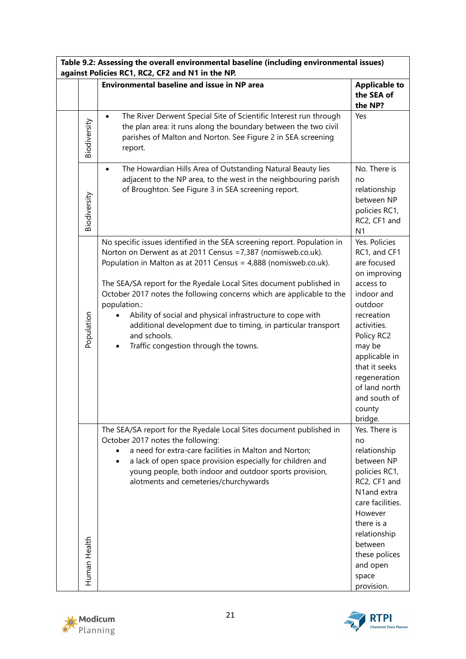| Table 9.2: Assessing the overall environmental baseline (including environmental issues)<br>against Policies RC1, RC2, CF2 and N1 in the NP. |              |                                                                                                                                                                                                                                                                                                                                                                                                                                                                                                                                                                       |                                                                                                                                                                                                                                                                 |  |  |  |  |  |
|----------------------------------------------------------------------------------------------------------------------------------------------|--------------|-----------------------------------------------------------------------------------------------------------------------------------------------------------------------------------------------------------------------------------------------------------------------------------------------------------------------------------------------------------------------------------------------------------------------------------------------------------------------------------------------------------------------------------------------------------------------|-----------------------------------------------------------------------------------------------------------------------------------------------------------------------------------------------------------------------------------------------------------------|--|--|--|--|--|
|                                                                                                                                              |              | <b>Environmental baseline and issue in NP area</b>                                                                                                                                                                                                                                                                                                                                                                                                                                                                                                                    | <b>Applicable to</b><br>the SEA of<br>the NP?                                                                                                                                                                                                                   |  |  |  |  |  |
|                                                                                                                                              | Biodiversity | The River Derwent Special Site of Scientific Interest run through<br>$\bullet$<br>the plan area: it runs along the boundary between the two civil<br>parishes of Malton and Norton. See Figure 2 in SEA screening<br>report.                                                                                                                                                                                                                                                                                                                                          | Yes                                                                                                                                                                                                                                                             |  |  |  |  |  |
|                                                                                                                                              | Biodiversity | The Howardian Hills Area of Outstanding Natural Beauty lies<br>$\bullet$<br>adjacent to the NP area, to the west in the neighbouring parish<br>of Broughton. See Figure 3 in SEA screening report.                                                                                                                                                                                                                                                                                                                                                                    | No. There is<br>no<br>relationship<br>between NP<br>policies RC1,<br>RC2, CF1 and<br>N <sub>1</sub>                                                                                                                                                             |  |  |  |  |  |
|                                                                                                                                              | Population   | No specific issues identified in the SEA screening report. Population in<br>Norton on Derwent as at 2011 Census = 7,387 (nomisweb.co.uk).<br>Population in Malton as at 2011 Census = 4,888 (nomisweb.co.uk).<br>The SEA/SA report for the Ryedale Local Sites document published in<br>October 2017 notes the following concerns which are applicable to the<br>population.:<br>Ability of social and physical infrastructure to cope with<br>additional development due to timing, in particular transport<br>and schools.<br>Traffic congestion through the towns. | Yes. Policies<br>RC1, and CF1<br>are focused<br>on improving<br>access to<br>indoor and<br>outdoor<br>recreation<br>activities.<br>Policy RC2<br>may be<br>applicable in<br>that it seeks<br>regeneration<br>of land north<br>and south of<br>county<br>bridge. |  |  |  |  |  |
|                                                                                                                                              | Human Health | The SEA/SA report for the Ryedale Local Sites document published in<br>October 2017 notes the following:<br>a need for extra-care facilities in Malton and Norton;<br>a lack of open space provision especially for children and<br>young people, both indoor and outdoor sports provision,<br>alotments and cemeteries/churchywards                                                                                                                                                                                                                                  | Yes. There is<br>no<br>relationship<br>between NP<br>policies RC1,<br>RC2, CF1 and<br>N1and extra<br>care facilities.<br>However<br>there is a<br>relationship<br>between<br>these polices<br>and open<br>space<br>provision.                                   |  |  |  |  |  |



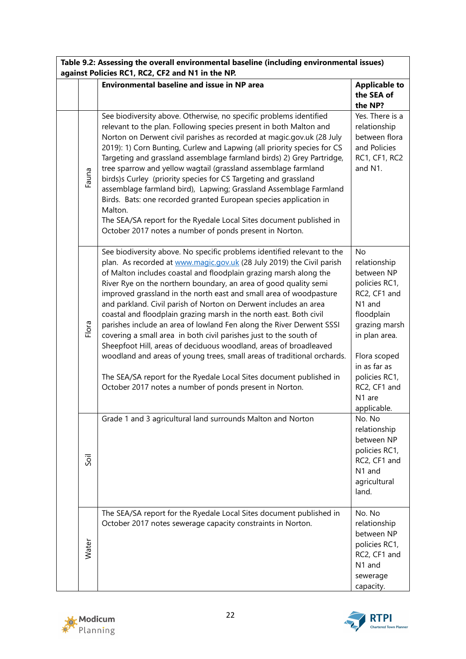| Table 9.2: Assessing the overall environmental baseline (including environmental issues)<br>against Policies RC1, RC2, CF2 and N1 in the NP. |       |                                                                                                                                                                                                                                                                                                                                                                                                                                                                                                                                                                                                                                                                                                                                                                                                                                                                                                                                          |                                                                                                                                                                                                                       |
|----------------------------------------------------------------------------------------------------------------------------------------------|-------|------------------------------------------------------------------------------------------------------------------------------------------------------------------------------------------------------------------------------------------------------------------------------------------------------------------------------------------------------------------------------------------------------------------------------------------------------------------------------------------------------------------------------------------------------------------------------------------------------------------------------------------------------------------------------------------------------------------------------------------------------------------------------------------------------------------------------------------------------------------------------------------------------------------------------------------|-----------------------------------------------------------------------------------------------------------------------------------------------------------------------------------------------------------------------|
|                                                                                                                                              |       | <b>Environmental baseline and issue in NP area</b>                                                                                                                                                                                                                                                                                                                                                                                                                                                                                                                                                                                                                                                                                                                                                                                                                                                                                       | <b>Applicable to</b><br>the SEA of<br>the NP?                                                                                                                                                                         |
|                                                                                                                                              | Fauna | See biodiversity above. Otherwise, no specific problems identified<br>relevant to the plan. Following species present in both Malton and<br>Norton on Derwent civil parishes as recorded at magic.gov.uk (28 July<br>2019): 1) Corn Bunting, Curlew and Lapwing (all priority species for CS<br>Targeting and grassland assemblage farmland birds) 2) Grey Partridge,<br>tree sparrow and yellow wagtail (grassland assemblage farmland<br>birds)s Curley (priority species for CS Targeting and grassland<br>assemblage farmland bird), Lapwing; Grassland Assemblage Farmland<br>Birds. Bats: one recorded granted European species application in<br>Malton.<br>The SEA/SA report for the Ryedale Local Sites document published in<br>October 2017 notes a number of ponds present in Norton.                                                                                                                                        | Yes. There is a<br>relationship<br>between flora<br>and Policies<br>RC1, CF1, RC2<br>and N1.                                                                                                                          |
|                                                                                                                                              | Flora | See biodiversity above. No specific problems identified relevant to the<br>plan. As recorded at www.magic.gov.uk (28 July 2019) the Civil parish<br>of Malton includes coastal and floodplain grazing marsh along the<br>River Rye on the northern boundary, an area of good quality semi<br>improved grassland in the north east and small area of woodpasture<br>and parkland. Civil parish of Norton on Derwent includes an area<br>coastal and floodplain grazing marsh in the north east. Both civil<br>parishes include an area of lowland Fen along the River Derwent SSSI<br>covering a small area in both civil parishes just to the south of<br>Sheepfoot Hill, areas of deciduous woodland, areas of broadleaved<br>woodland and areas of young trees, small areas of traditional orchards.<br>The SEA/SA report for the Ryedale Local Sites document published in<br>October 2017 notes a number of ponds present in Norton. | No<br>relationship<br>between NP<br>policies RC1,<br>RC2, CF1 and<br>N1 and<br>floodplain<br>grazing marsh<br>in plan area.<br>Flora scoped<br>in as far as<br>policies RC1,<br>RC2, CF1 and<br>N1 are<br>applicable. |
|                                                                                                                                              | Soil  | Grade 1 and 3 agricultural land surrounds Malton and Norton                                                                                                                                                                                                                                                                                                                                                                                                                                                                                                                                                                                                                                                                                                                                                                                                                                                                              | No. No<br>relationship<br>between NP<br>policies RC1,<br>RC2, CF1 and<br>N1 and<br>agricultural<br>land.                                                                                                              |
|                                                                                                                                              | Water | The SEA/SA report for the Ryedale Local Sites document published in<br>October 2017 notes sewerage capacity constraints in Norton.                                                                                                                                                                                                                                                                                                                                                                                                                                                                                                                                                                                                                                                                                                                                                                                                       | No. No<br>relationship<br>between NP<br>policies RC1,<br>RC2, CF1 and<br>N1 and<br>sewerage<br>capacity.                                                                                                              |



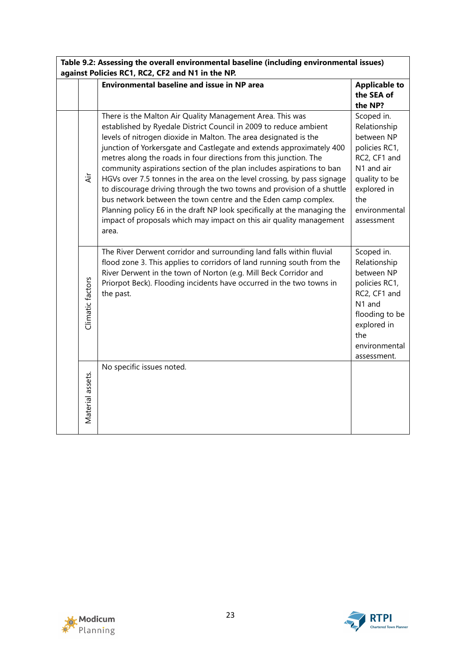| Table 9.2: Assessing the overall environmental baseline (including environmental issues)<br>against Policies RC1, RC2, CF2 and N1 in the NP. |                  |                                                                                                                                                                                                                                                                                                                                                                                                                                                                                                                                                                                                                                                                                                                                                                                                             |                                                                                                                                                               |
|----------------------------------------------------------------------------------------------------------------------------------------------|------------------|-------------------------------------------------------------------------------------------------------------------------------------------------------------------------------------------------------------------------------------------------------------------------------------------------------------------------------------------------------------------------------------------------------------------------------------------------------------------------------------------------------------------------------------------------------------------------------------------------------------------------------------------------------------------------------------------------------------------------------------------------------------------------------------------------------------|---------------------------------------------------------------------------------------------------------------------------------------------------------------|
|                                                                                                                                              |                  | <b>Environmental baseline and issue in NP area</b>                                                                                                                                                                                                                                                                                                                                                                                                                                                                                                                                                                                                                                                                                                                                                          | <b>Applicable to</b><br>the SEA of<br>the NP?                                                                                                                 |
|                                                                                                                                              | Äί               | There is the Malton Air Quality Management Area. This was<br>established by Ryedale District Council in 2009 to reduce ambient<br>levels of nitrogen dioxide in Malton. The area designated is the<br>junction of Yorkersgate and Castlegate and extends approximately 400<br>metres along the roads in four directions from this junction. The<br>community aspirations section of the plan includes aspirations to ban<br>HGVs over 7.5 tonnes in the area on the level crossing, by pass signage<br>to discourage driving through the two towns and provision of a shuttle<br>bus network between the town centre and the Eden camp complex.<br>Planning policy E6 in the draft NP look specifically at the managing the<br>impact of proposals which may impact on this air quality management<br>area. | Scoped in.<br>Relationship<br>between NP<br>policies RC1,<br>RC2, CF1 and<br>N1 and air<br>quality to be<br>explored in<br>the<br>environmental<br>assessment |
|                                                                                                                                              | Climatic factors | The River Derwent corridor and surrounding land falls within fluvial<br>flood zone 3. This applies to corridors of land running south from the<br>River Derwent in the town of Norton (e.g. Mill Beck Corridor and<br>Priorpot Beck). Flooding incidents have occurred in the two towns in<br>the past.                                                                                                                                                                                                                                                                                                                                                                                                                                                                                                     | Scoped in.<br>Relationship<br>between NP<br>policies RC1,<br>RC2, CF1 and<br>N1 and<br>flooding to be<br>explored in<br>the<br>environmental<br>assessment.   |
|                                                                                                                                              | Material assets. | No specific issues noted.                                                                                                                                                                                                                                                                                                                                                                                                                                                                                                                                                                                                                                                                                                                                                                                   |                                                                                                                                                               |



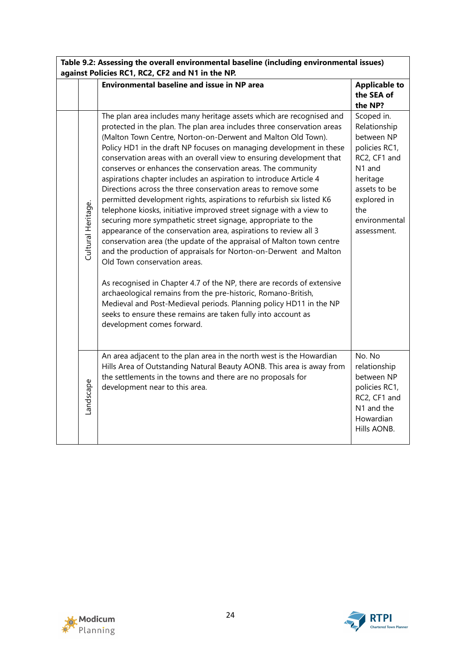| Table 9.2: Assessing the overall environmental baseline (including environmental issues)<br>against Policies RC1, RC2, CF2 and N1 in the NP. |                    |                                                                                                                                                                                                                                                                                                                                                                                                                                                                                                                                                                                                                                                                                                                                                                                                                                                                                                                                                                                                                                                                                                                                                                                                                                                                                                                                                    |                                                                                                                                                                       |
|----------------------------------------------------------------------------------------------------------------------------------------------|--------------------|----------------------------------------------------------------------------------------------------------------------------------------------------------------------------------------------------------------------------------------------------------------------------------------------------------------------------------------------------------------------------------------------------------------------------------------------------------------------------------------------------------------------------------------------------------------------------------------------------------------------------------------------------------------------------------------------------------------------------------------------------------------------------------------------------------------------------------------------------------------------------------------------------------------------------------------------------------------------------------------------------------------------------------------------------------------------------------------------------------------------------------------------------------------------------------------------------------------------------------------------------------------------------------------------------------------------------------------------------|-----------------------------------------------------------------------------------------------------------------------------------------------------------------------|
|                                                                                                                                              |                    | <b>Environmental baseline and issue in NP area</b>                                                                                                                                                                                                                                                                                                                                                                                                                                                                                                                                                                                                                                                                                                                                                                                                                                                                                                                                                                                                                                                                                                                                                                                                                                                                                                 | <b>Applicable to</b><br>the SEA of<br>the NP?                                                                                                                         |
|                                                                                                                                              | Cultural Heritage. | The plan area includes many heritage assets which are recognised and<br>protected in the plan. The plan area includes three conservation areas<br>(Malton Town Centre, Norton-on-Derwent and Malton Old Town).<br>Policy HD1 in the draft NP focuses on managing development in these<br>conservation areas with an overall view to ensuring development that<br>conserves or enhances the conservation areas. The community<br>aspirations chapter includes an aspiration to introduce Article 4<br>Directions across the three conservation areas to remove some<br>permitted development rights, aspirations to refurbish six listed K6<br>telephone kiosks, initiative improved street signage with a view to<br>securing more sympathetic street signage, appropriate to the<br>appearance of the conservation area, aspirations to review all 3<br>conservation area (the update of the appraisal of Malton town centre<br>and the production of appraisals for Norton-on-Derwent and Malton<br>Old Town conservation areas.<br>As recognised in Chapter 4.7 of the NP, there are records of extensive<br>archaeological remains from the pre-historic, Romano-British,<br>Medieval and Post-Medieval periods. Planning policy HD11 in the NP<br>seeks to ensure these remains are taken fully into account as<br>development comes forward. | Scoped in.<br>Relationship<br>between NP<br>policies RC1,<br>RC2, CF1 and<br>N1 and<br>heritage<br>assets to be<br>explored in<br>the<br>environmental<br>assessment. |
|                                                                                                                                              | Landscape          | An area adjacent to the plan area in the north west is the Howardian<br>Hills Area of Outstanding Natural Beauty AONB. This area is away from<br>the settlements in the towns and there are no proposals for<br>development near to this area.                                                                                                                                                                                                                                                                                                                                                                                                                                                                                                                                                                                                                                                                                                                                                                                                                                                                                                                                                                                                                                                                                                     | No. No<br>relationship<br>between NP<br>policies RC1,<br>RC2, CF1 and<br>N1 and the<br>Howardian<br>Hills AONB.                                                       |



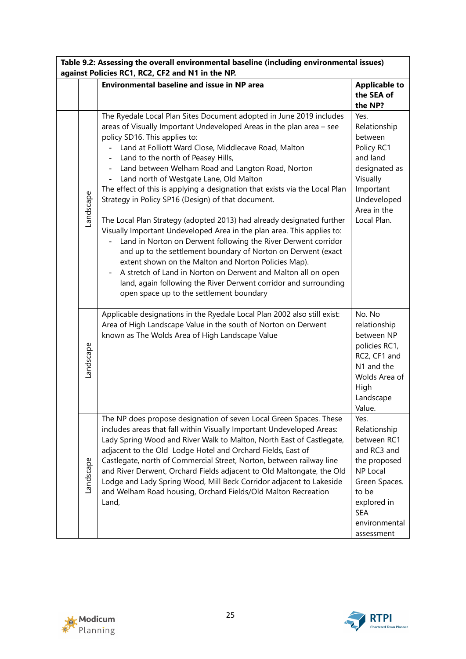| Table 9.2: Assessing the overall environmental baseline (including environmental issues)<br>against Policies RC1, RC2, CF2 and N1 in the NP. |                                                                                                                                                                                                                                                                                                                                                                                                                                                                                                                                                                                                                                                                                                                                                                                                                                                                                                                                                                                                                                                |                                                                                                                                                                             |
|----------------------------------------------------------------------------------------------------------------------------------------------|------------------------------------------------------------------------------------------------------------------------------------------------------------------------------------------------------------------------------------------------------------------------------------------------------------------------------------------------------------------------------------------------------------------------------------------------------------------------------------------------------------------------------------------------------------------------------------------------------------------------------------------------------------------------------------------------------------------------------------------------------------------------------------------------------------------------------------------------------------------------------------------------------------------------------------------------------------------------------------------------------------------------------------------------|-----------------------------------------------------------------------------------------------------------------------------------------------------------------------------|
|                                                                                                                                              | <b>Environmental baseline and issue in NP area</b>                                                                                                                                                                                                                                                                                                                                                                                                                                                                                                                                                                                                                                                                                                                                                                                                                                                                                                                                                                                             | <b>Applicable to</b><br>the SEA of                                                                                                                                          |
|                                                                                                                                              |                                                                                                                                                                                                                                                                                                                                                                                                                                                                                                                                                                                                                                                                                                                                                                                                                                                                                                                                                                                                                                                | the NP?                                                                                                                                                                     |
| Landscape                                                                                                                                    | The Ryedale Local Plan Sites Document adopted in June 2019 includes<br>areas of Visually Important Undeveloped Areas in the plan area - see<br>policy SD16. This applies to:<br>Land at Folliott Ward Close, Middlecave Road, Malton<br>Land to the north of Peasey Hills,<br>Land between Welham Road and Langton Road, Norton<br>Land north of Westgate Lane, Old Malton<br>The effect of this is applying a designation that exists via the Local Plan<br>Strategy in Policy SP16 (Design) of that document.<br>The Local Plan Strategy (adopted 2013) had already designated further<br>Visually Important Undeveloped Area in the plan area. This applies to:<br>Land in Norton on Derwent following the River Derwent corridor<br>and up to the settlement boundary of Norton on Derwent (exact<br>extent shown on the Malton and Norton Policies Map).<br>A stretch of Land in Norton on Derwent and Malton all on open<br>land, again following the River Derwent corridor and surrounding<br>open space up to the settlement boundary | Yes.<br>Relationship<br>between<br>Policy RC1<br>and land<br>designated as<br>Visually<br>Important<br>Undeveloped<br>Area in the<br>Local Plan.                            |
| Landscape                                                                                                                                    | Applicable designations in the Ryedale Local Plan 2002 also still exist:<br>Area of High Landscape Value in the south of Norton on Derwent<br>known as The Wolds Area of High Landscape Value                                                                                                                                                                                                                                                                                                                                                                                                                                                                                                                                                                                                                                                                                                                                                                                                                                                  | No. No<br>relationship<br>between NP<br>policies RC1,<br>RC2, CF1 and<br>N1 and the<br>Wolds Area of<br>High<br>Landscape<br>Value.                                         |
| Landscape                                                                                                                                    | The NP does propose designation of seven Local Green Spaces. These<br>includes areas that fall within Visually Important Undeveloped Areas:<br>Lady Spring Wood and River Walk to Malton, North East of Castlegate,<br>adjacent to the Old Lodge Hotel and Orchard Fields, East of<br>Castlegate, north of Commercial Street, Norton, between railway line<br>and River Derwent, Orchard Fields adjacent to Old Maltongate, the Old<br>Lodge and Lady Spring Wood, Mill Beck Corridor adjacent to Lakeside<br>and Welham Road housing, Orchard Fields/Old Malton Recreation<br>Land,                                                                                                                                                                                                                                                                                                                                                                                                                                                           | Yes.<br>Relationship<br>between RC1<br>and RC3 and<br>the proposed<br><b>NP Local</b><br>Green Spaces.<br>to be<br>explored in<br><b>SEA</b><br>environmental<br>assessment |



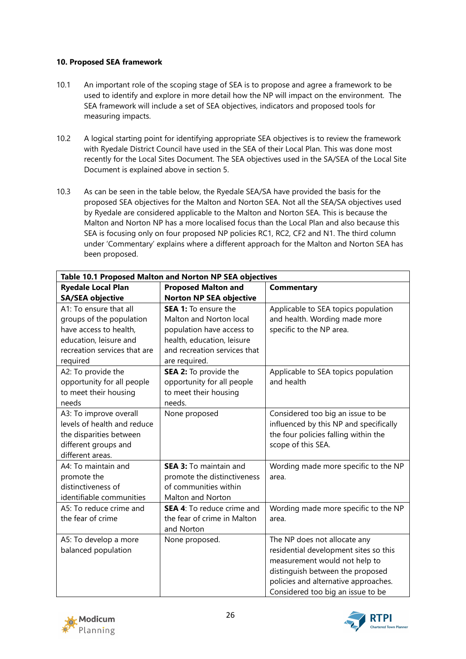### **10. Proposed SEA framework**

- 10.1 An important role of the scoping stage of SEA is to propose and agree a framework to be used to identify and explore in more detail how the NP will impact on the environment. The SEA framework will include a set of SEA objectives, indicators and proposed tools for measuring impacts.
- 10.2 A logical starting point for identifying appropriate SEA objectives is to review the framework with Ryedale District Council have used in the SEA of their Local Plan. This was done most recently for the Local Sites Document. The SEA objectives used in the SA/SEA of the Local Site Document is explained above in section 5.
- 10.3 As can be seen in the table below, the Ryedale SEA/SA have provided the basis for the proposed SEA objectives for the Malton and Norton SEA. Not all the SEA/SA objectives used by Ryedale are considered applicable to the Malton and Norton SEA. This is because the Malton and Norton NP has a more localised focus than the Local Plan and also because this SEA is focusing only on four proposed NP policies RC1, RC2, CF2 and N1. The third column under 'Commentary' explains where a different approach for the Malton and Norton SEA has been proposed.

| Table 10.1 Proposed Malton and Norton NP SEA objectives |                                   |                                        |  |
|---------------------------------------------------------|-----------------------------------|----------------------------------------|--|
| <b>Ryedale Local Plan</b>                               | <b>Proposed Malton and</b>        | <b>Commentary</b>                      |  |
| <b>SA/SEA objective</b>                                 | <b>Norton NP SEA objective</b>    |                                        |  |
| A1: To ensure that all                                  | SEA 1: To ensure the              | Applicable to SEA topics population    |  |
| groups of the population                                | Malton and Norton local           | and health. Wording made more          |  |
| have access to health,                                  | population have access to         | specific to the NP area.               |  |
| education, leisure and                                  | health, education, leisure        |                                        |  |
| recreation services that are                            | and recreation services that      |                                        |  |
| required                                                | are required.                     |                                        |  |
| A2: To provide the                                      | SEA 2: To provide the             | Applicable to SEA topics population    |  |
| opportunity for all people                              | opportunity for all people        | and health                             |  |
| to meet their housing                                   | to meet their housing             |                                        |  |
| needs                                                   | needs.                            |                                        |  |
| A3: To improve overall                                  | None proposed                     | Considered too big an issue to be      |  |
| levels of health and reduce                             |                                   | influenced by this NP and specifically |  |
| the disparities between                                 |                                   | the four policies falling within the   |  |
| different groups and                                    |                                   | scope of this SEA.                     |  |
| different areas.                                        |                                   |                                        |  |
| A4: To maintain and                                     | <b>SEA 3:</b> To maintain and     | Wording made more specific to the NP   |  |
| promote the                                             | promote the distinctiveness       | area.                                  |  |
| distinctiveness of                                      | of communities within             |                                        |  |
| identifiable communities                                | Malton and Norton                 |                                        |  |
| A5: To reduce crime and                                 | <b>SEA 4:</b> To reduce crime and | Wording made more specific to the NP   |  |
| the fear of crime                                       | the fear of crime in Malton       | area.                                  |  |
|                                                         | and Norton                        |                                        |  |
| A5: To develop a more                                   | None proposed.                    | The NP does not allocate any           |  |
| balanced population                                     |                                   | residential development sites so this  |  |
|                                                         |                                   | measurement would not help to          |  |
|                                                         |                                   | distinguish between the proposed       |  |
|                                                         |                                   | policies and alternative approaches.   |  |
|                                                         |                                   | Considered too big an issue to be      |  |



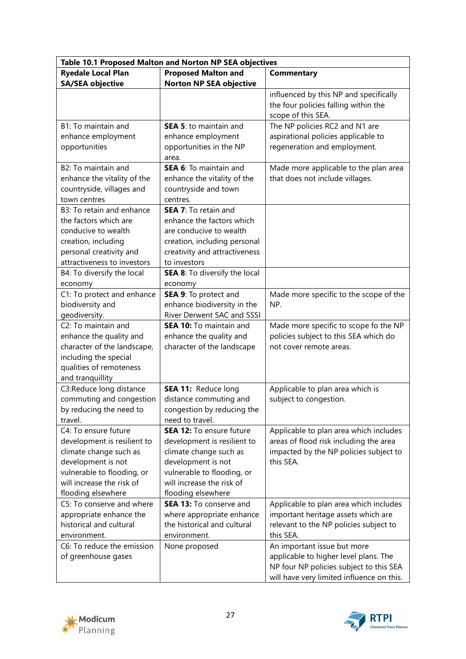| Table 10.1 Proposed Malton and Norton NP SEA objectives |                                               |                                                            |  |
|---------------------------------------------------------|-----------------------------------------------|------------------------------------------------------------|--|
| <b>Ryedale Local Plan</b>                               | <b>Proposed Malton and</b>                    | <b>Commentary</b>                                          |  |
| <b>SA/SEA objective</b>                                 | <b>Norton NP SEA objective</b>                |                                                            |  |
|                                                         |                                               | influenced by this NP and specifically                     |  |
|                                                         |                                               | the four policies falling within the                       |  |
|                                                         |                                               | scope of this SEA.                                         |  |
| B1: To maintain and                                     | <b>SEA 5: to maintain and</b>                 | The NP policies RC2 and N1 are                             |  |
| enhance employment                                      | enhance employment                            | aspirational policies applicable to                        |  |
| opportunities                                           | opportunities in the NP                       | regeneration and employment.                               |  |
|                                                         | area.                                         |                                                            |  |
| B2: To maintain and                                     | SEA 6: To maintain and                        | Made more applicable to the plan area                      |  |
| enhance the vitality of the                             | enhance the vitality of the                   | that does not include villages.                            |  |
| countryside, villages and                               | countryside and town                          |                                                            |  |
| town centres                                            | centres.                                      |                                                            |  |
| B3: To retain and enhance                               | <b>SEA 7:</b> To retain and                   |                                                            |  |
| the factors which are                                   | enhance the factors which                     |                                                            |  |
| conducive to wealth                                     | are conducive to wealth                       |                                                            |  |
| creation, including                                     | creation, including personal                  |                                                            |  |
| personal creativity and                                 | creativity and attractiveness                 |                                                            |  |
| attractiveness to investors                             | to investors                                  |                                                            |  |
| B4: To diversify the local                              | <b>SEA 8:</b> To diversify the local          |                                                            |  |
| economy                                                 | economy                                       |                                                            |  |
| C1: To protect and enhance                              | SEA 9: To protect and                         | Made more specific to the scope of the                     |  |
| biodiversity and                                        | enhance biodiversity in the                   | NP.                                                        |  |
| geodiversity.                                           | River Derwent SAC and SSSI                    |                                                            |  |
| C2: To maintain and                                     | <b>SEA 10:</b> To maintain and                | Made more specific to scope fo the NP                      |  |
| enhance the quality and                                 | enhance the quality and                       | policies subject to this SEA which do                      |  |
| character of the landscape,                             | character of the landscape                    | not cover remote areas.                                    |  |
| including the special                                   |                                               |                                                            |  |
| qualities of remoteness                                 |                                               |                                                            |  |
| and tranquillity                                        |                                               |                                                            |  |
| C3:Reduce long distance                                 | SEA 11: Reduce long                           | Applicable to plan area which is<br>subject to congestion. |  |
| commuting and congestion                                | distance commuting and                        |                                                            |  |
| by reducing the need to<br>travel.                      | congestion by reducing the<br>need to travel. |                                                            |  |
| C4: To ensure future                                    | SEA 12: To ensure future                      | Applicable to plan area which includes                     |  |
| development is resilient to                             | development is resilient to                   | areas of flood risk including the area                     |  |
| climate change such as                                  | climate change such as                        | impacted by the NP policies subject to                     |  |
| development is not                                      | development is not                            | this SEA.                                                  |  |
| vulnerable to flooding, or                              | vulnerable to flooding, or                    |                                                            |  |
| will increase the risk of                               | will increase the risk of                     |                                                            |  |
| flooding elsewhere                                      | flooding elsewhere                            |                                                            |  |
| C5: To conserve and where                               | <b>SEA 13: To conserve and</b>                | Applicable to plan area which includes                     |  |
| appropriate enhance the                                 | where appropriate enhance                     | important heritage assets which are                        |  |
| historical and cultural                                 | the historical and cultural                   | relevant to the NP policies subject to                     |  |
| environment.                                            | environment.                                  | this SEA.                                                  |  |
| C6: To reduce the emission                              | None proposed                                 | An important issue but more                                |  |
| of greenhouse gases                                     |                                               | applicable to higher level plans. The                      |  |
|                                                         |                                               | NP four NP policies subject to this SEA                    |  |
|                                                         |                                               | will have very limited influence on this.                  |  |



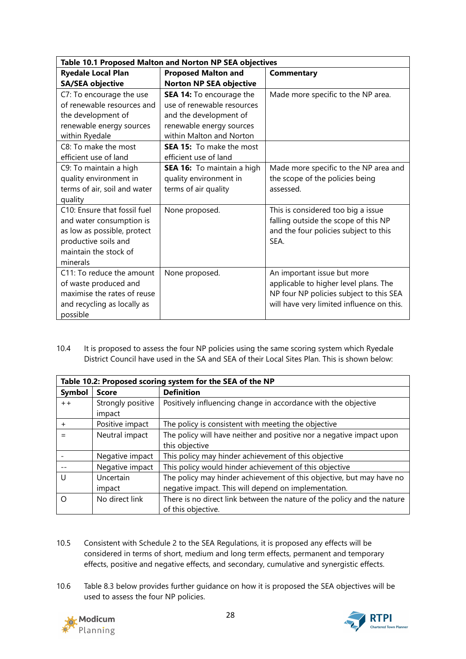| Table 10.1 Proposed Malton and Norton NP SEA objectives                                                                                              |                                                                                                                                                                             |                                                                                                                                                              |  |
|------------------------------------------------------------------------------------------------------------------------------------------------------|-----------------------------------------------------------------------------------------------------------------------------------------------------------------------------|--------------------------------------------------------------------------------------------------------------------------------------------------------------|--|
| <b>Ryedale Local Plan</b>                                                                                                                            | <b>Proposed Malton and</b>                                                                                                                                                  | Commentary                                                                                                                                                   |  |
| <b>SA/SEA objective</b>                                                                                                                              | <b>Norton NP SEA objective</b>                                                                                                                                              |                                                                                                                                                              |  |
| C7: To encourage the use<br>of renewable resources and<br>the development of<br>renewable energy sources<br>within Ryedale<br>C8: To make the most   | SEA 14: To encourage the<br>use of renewable resources<br>and the development of<br>renewable energy sources<br>within Malton and Norton<br><b>SEA 15:</b> To make the most | Made more specific to the NP area.                                                                                                                           |  |
| efficient use of land                                                                                                                                | efficient use of land                                                                                                                                                       |                                                                                                                                                              |  |
| C9: To maintain a high<br>quality environment in<br>terms of air, soil and water<br>quality                                                          | SEA 16: To maintain a high<br>quality environment in<br>terms of air quality                                                                                                | Made more specific to the NP area and<br>the scope of the policies being<br>assessed.                                                                        |  |
| C10: Ensure that fossil fuel<br>and water consumption is<br>as low as possible, protect<br>productive soils and<br>maintain the stock of<br>minerals | None proposed.                                                                                                                                                              | This is considered too big a issue<br>falling outside the scope of this NP<br>and the four policies subject to this<br>SFA.                                  |  |
| C11: To reduce the amount<br>of waste produced and<br>maximise the rates of reuse<br>and recycling as locally as<br>possible                         | None proposed.                                                                                                                                                              | An important issue but more<br>applicable to higher level plans. The<br>NP four NP policies subject to this SEA<br>will have very limited influence on this. |  |

10.4 It is proposed to assess the four NP policies using the same scoring system which Ryedale District Council have used in the SA and SEA of their Local Sites Plan. This is shown below:

| Table 10.2: Proposed scoring system for the SEA of the NP |                             |                                                                                                                              |  |
|-----------------------------------------------------------|-----------------------------|------------------------------------------------------------------------------------------------------------------------------|--|
| Symbol                                                    | <b>Score</b>                | <b>Definition</b>                                                                                                            |  |
| $+ +$                                                     | Strongly positive<br>impact | Positively influencing change in accordance with the objective                                                               |  |
| $+$                                                       | Positive impact             | The policy is consistent with meeting the objective                                                                          |  |
|                                                           | Neutral impact              | The policy will have neither and positive nor a negative impact upon<br>this objective                                       |  |
|                                                           | Negative impact             | This policy may hinder achievement of this objective                                                                         |  |
|                                                           | Negative impact             | This policy would hinder achievement of this objective                                                                       |  |
| U                                                         | Uncertain<br>impact         | The policy may hinder achievement of this objective, but may have no<br>negative impact. This will depend on implementation. |  |
| ∩                                                         | No direct link              | There is no direct link between the nature of the policy and the nature<br>of this objective.                                |  |

- 10.5 Consistent with Schedule 2 to the SEA Regulations, it is proposed any effects will be considered in terms of short, medium and long term effects, permanent and temporary effects, positive and negative effects, and secondary, cumulative and synergistic effects.
- 10.6 Table 8.3 below provides further guidance on how it is proposed the SEA objectives will be used to assess the four NP policies.



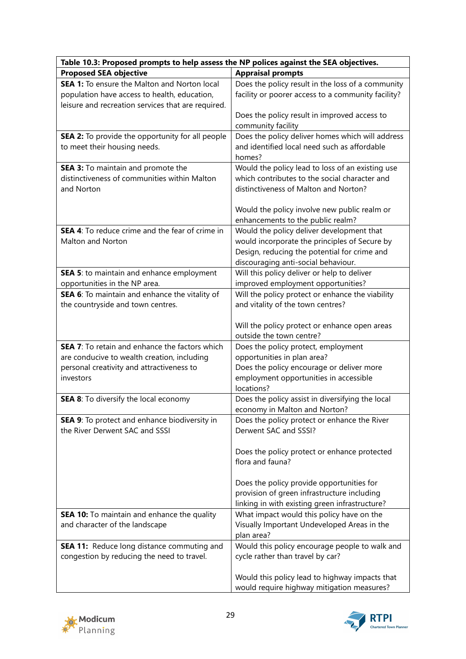| Table 10.3: Proposed prompts to help assess the NP polices against the SEA objectives.             |                                                                                              |  |  |
|----------------------------------------------------------------------------------------------------|----------------------------------------------------------------------------------------------|--|--|
| <b>Proposed SEA objective</b>                                                                      | <b>Appraisal prompts</b>                                                                     |  |  |
| <b>SEA 1:</b> To ensure the Malton and Norton local                                                | Does the policy result in the loss of a community                                            |  |  |
| population have access to health, education,<br>leisure and recreation services that are required. | facility or poorer access to a community facility?                                           |  |  |
|                                                                                                    | Does the policy result in improved access to                                                 |  |  |
|                                                                                                    | community facility                                                                           |  |  |
| <b>SEA 2:</b> To provide the opportunity for all people                                            | Does the policy deliver homes which will address                                             |  |  |
| to meet their housing needs.                                                                       | and identified local need such as affordable                                                 |  |  |
|                                                                                                    | homes?                                                                                       |  |  |
| SEA 3: To maintain and promote the                                                                 | Would the policy lead to loss of an existing use                                             |  |  |
| distinctiveness of communities within Malton                                                       | which contributes to the social character and                                                |  |  |
| and Norton                                                                                         | distinctiveness of Malton and Norton?                                                        |  |  |
|                                                                                                    | Would the policy involve new public realm or                                                 |  |  |
|                                                                                                    | enhancements to the public realm?                                                            |  |  |
| <b>SEA 4:</b> To reduce crime and the fear of crime in                                             | Would the policy deliver development that                                                    |  |  |
| Malton and Norton                                                                                  | would incorporate the principles of Secure by                                                |  |  |
|                                                                                                    | Design, reducing the potential for crime and                                                 |  |  |
|                                                                                                    | discouraging anti-social behaviour.                                                          |  |  |
| SEA 5: to maintain and enhance employment<br>opportunities in the NP area.                         | Will this policy deliver or help to deliver<br>improved employment opportunities?            |  |  |
| SEA 6: To maintain and enhance the vitality of                                                     | Will the policy protect or enhance the viability                                             |  |  |
| the countryside and town centres.                                                                  | and vitality of the town centres?                                                            |  |  |
|                                                                                                    | Will the policy protect or enhance open areas<br>outside the town centre?                    |  |  |
| <b>SEA 7:</b> To retain and enhance the factors which                                              | Does the policy protect, employment                                                          |  |  |
| are conducive to wealth creation, including                                                        | opportunities in plan area?                                                                  |  |  |
| personal creativity and attractiveness to                                                          | Does the policy encourage or deliver more                                                    |  |  |
| investors                                                                                          | employment opportunities in accessible<br>locations?                                         |  |  |
| SEA 8: To diversify the local economy                                                              | Does the policy assist in diversifying the local                                             |  |  |
|                                                                                                    | economy in Malton and Norton?                                                                |  |  |
| SEA 9: To protect and enhance biodiversity in<br>the River Derwent SAC and SSSI                    | Does the policy protect or enhance the River<br>Derwent SAC and SSSI?                        |  |  |
|                                                                                                    | Does the policy protect or enhance protected<br>flora and fauna?                             |  |  |
|                                                                                                    | Does the policy provide opportunities for                                                    |  |  |
|                                                                                                    | provision of green infrastructure including                                                  |  |  |
|                                                                                                    | linking in with existing green infrastructure?                                               |  |  |
| <b>SEA 10:</b> To maintain and enhance the quality                                                 | What impact would this policy have on the                                                    |  |  |
| and character of the landscape                                                                     | Visually Important Undeveloped Areas in the                                                  |  |  |
|                                                                                                    | plan area?                                                                                   |  |  |
| <b>SEA 11:</b> Reduce long distance commuting and                                                  | Would this policy encourage people to walk and                                               |  |  |
| congestion by reducing the need to travel.                                                         | cycle rather than travel by car?                                                             |  |  |
|                                                                                                    | Would this policy lead to highway impacts that<br>would require highway mitigation measures? |  |  |